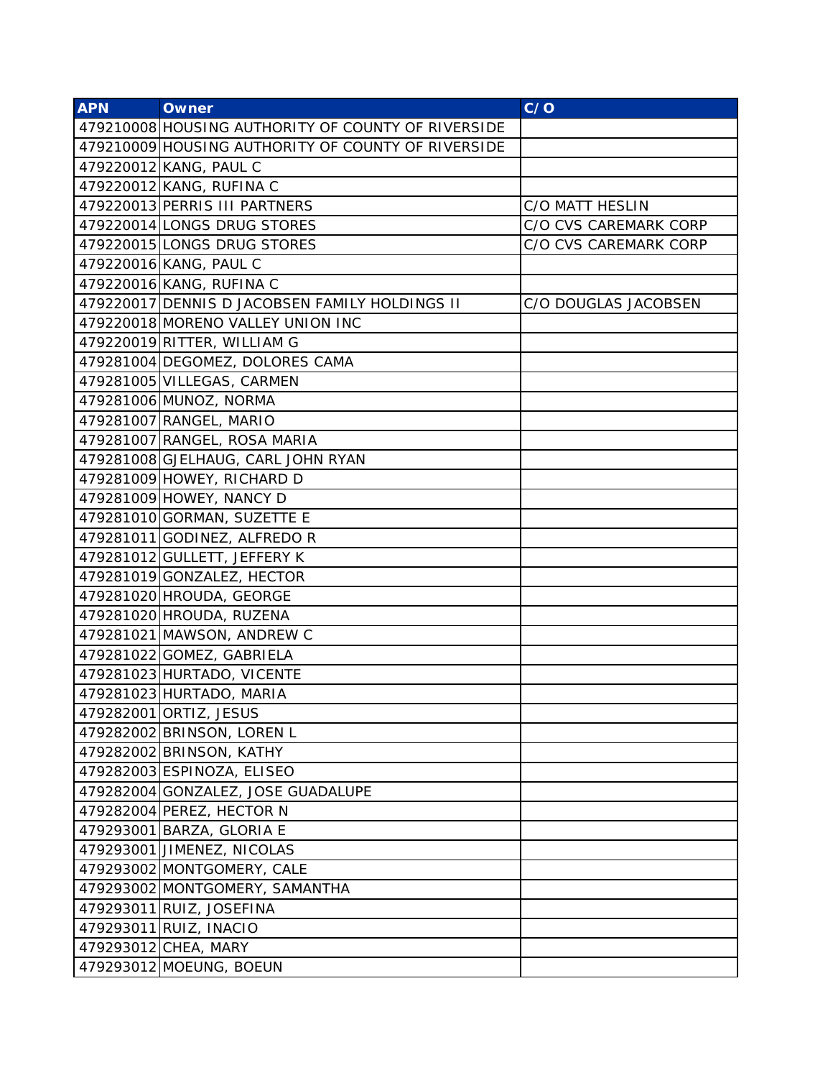| <b>APN</b> | <b>Owner</b>                                       | C/O                   |
|------------|----------------------------------------------------|-----------------------|
|            | 479210008 HOUSING AUTHORITY OF COUNTY OF RIVERSIDE |                       |
|            | 479210009 HOUSING AUTHORITY OF COUNTY OF RIVERSIDE |                       |
|            | 479220012 KANG, PAUL C                             |                       |
|            | 479220012 KANG, RUFINA C                           |                       |
|            | 479220013 PERRIS III PARTNERS                      | C/O MATT HESLIN       |
|            | 479220014 LONGS DRUG STORES                        | C/O CVS CAREMARK CORP |
|            | 479220015 LONGS DRUG STORES                        | C/O CVS CAREMARK CORP |
|            | 479220016 KANG, PAUL C                             |                       |
|            | 479220016 KANG, RUFINA C                           |                       |
|            | 479220017 DENNIS D JACOBSEN FAMILY HOLDINGS II     | C/O DOUGLAS JACOBSEN  |
|            | 479220018 MORENO VALLEY UNION INC                  |                       |
|            | 479220019 RITTER, WILLIAM G                        |                       |
|            | 479281004 DEGOMEZ, DOLORES CAMA                    |                       |
|            | 479281005 VILLEGAS, CARMEN                         |                       |
|            | 479281006 MUNOZ, NORMA                             |                       |
|            | 479281007 RANGEL, MARIO                            |                       |
|            | 479281007 RANGEL, ROSA MARIA                       |                       |
|            | 479281008 GJELHAUG, CARL JOHN RYAN                 |                       |
|            | 479281009 HOWEY, RICHARD D                         |                       |
|            | 479281009 HOWEY, NANCY D                           |                       |
|            | 479281010 GORMAN, SUZETTE E                        |                       |
|            | 479281011 GODINEZ, ALFREDO R                       |                       |
|            | 479281012 GULLETT, JEFFERY K                       |                       |
|            | 479281019 GONZALEZ, HECTOR                         |                       |
|            | 479281020 HROUDA, GEORGE                           |                       |
|            | 479281020 HROUDA, RUZENA                           |                       |
|            | 479281021 MAWSON, ANDREW C                         |                       |
|            | 479281022 GOMEZ, GABRIELA                          |                       |
|            | 479281023 HURTADO, VICENTE                         |                       |
|            | 479281023 HURTADO, MARIA                           |                       |
|            | 479282001 ORTIZ, JESUS                             |                       |
|            | 479282002 BRINSON, LOREN L                         |                       |
|            | 479282002 BRINSON, KATHY                           |                       |
|            | 479282003 ESPINOZA, ELISEO                         |                       |
|            | 479282004 GONZALEZ, JOSE GUADALUPE                 |                       |
|            | 479282004 PEREZ, HECTOR N                          |                       |
|            | 479293001 BARZA, GLORIA E                          |                       |
|            | 479293001 JIMENEZ, NICOLAS                         |                       |
|            | 479293002 MONTGOMERY, CALE                         |                       |
|            | 479293002 MONTGOMERY, SAMANTHA                     |                       |
|            | 479293011 RUIZ, JOSEFINA                           |                       |
|            | 479293011 RUIZ, INACIO                             |                       |
|            | 479293012 CHEA, MARY                               |                       |
|            | 479293012 MOEUNG, BOEUN                            |                       |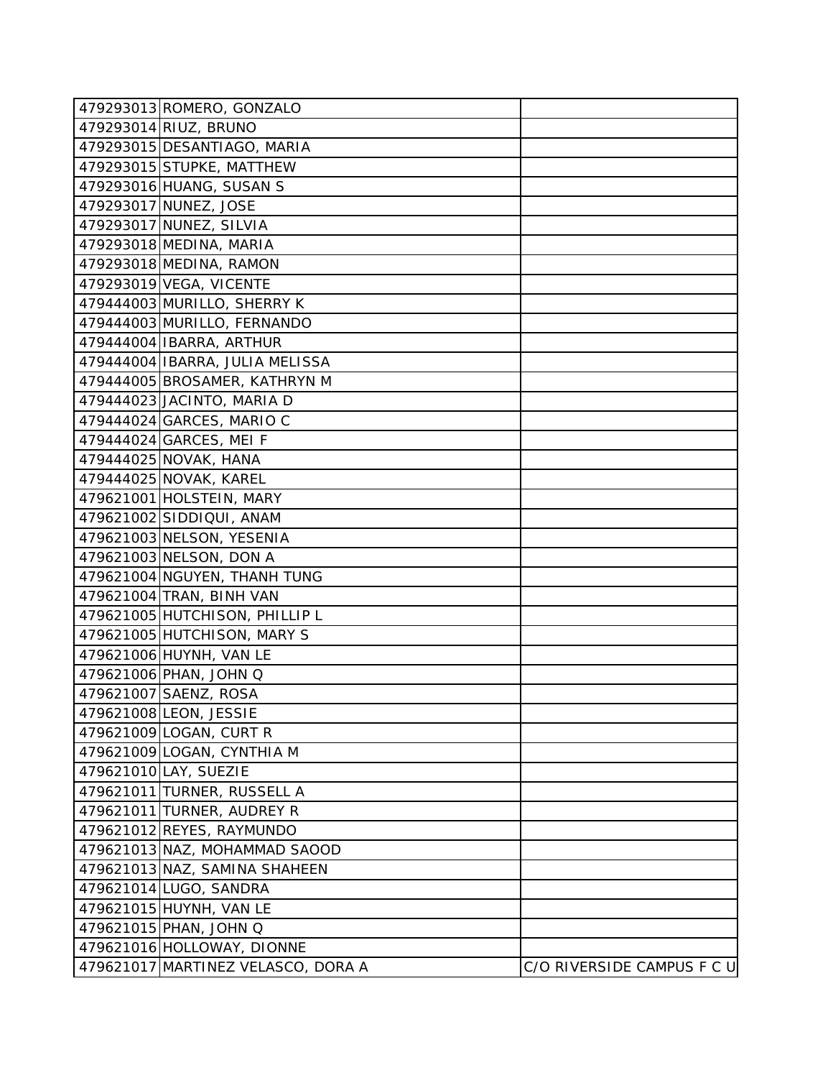| 479293013 ROMERO, GONZALO          |                            |
|------------------------------------|----------------------------|
| 479293014 RIUZ, BRUNO              |                            |
| 479293015 DESANTIAGO, MARIA        |                            |
| 479293015 STUPKE, MATTHEW          |                            |
| 479293016 HUANG, SUSAN S           |                            |
| 479293017 NUNEZ, JOSE              |                            |
| 479293017 NUNEZ, SILVIA            |                            |
| 479293018 MEDINA, MARIA            |                            |
| 479293018 MEDINA, RAMON            |                            |
| 479293019 VEGA, VICENTE            |                            |
| 479444003 MURILLO, SHERRY K        |                            |
| 479444003 MURILLO, FERNANDO        |                            |
| 479444004 IBARRA, ARTHUR           |                            |
| 479444004 IBARRA, JULIA MELISSA    |                            |
| 479444005 BROSAMER, KATHRYN M      |                            |
| 479444023 JACINTO, MARIA D         |                            |
| 479444024 GARCES, MARIO C          |                            |
| 479444024 GARCES, MEI F            |                            |
| 479444025 NOVAK, HANA              |                            |
| 479444025 NOVAK, KAREL             |                            |
| 479621001 HOLSTEIN, MARY           |                            |
| 479621002 SIDDIQUI, ANAM           |                            |
| 479621003 NELSON, YESENIA          |                            |
| 479621003 NELSON, DON A            |                            |
| 479621004 NGUYEN, THANH TUNG       |                            |
| 479621004 TRAN, BINH VAN           |                            |
| 479621005 HUTCHISON, PHILLIP L     |                            |
| 479621005 HUTCHISON, MARY S        |                            |
| 479621006 HUYNH, VAN LE            |                            |
| 479621006 PHAN, JOHN Q             |                            |
| 479621007 SAENZ, ROSA              |                            |
| 479621008 LEON, JESSIE             |                            |
| 479621009 LOGAN, CURT R            |                            |
| 479621009 LOGAN, CYNTHIA M         |                            |
| 479621010 LAY, SUEZIE              |                            |
| 479621011 TURNER, RUSSELL A        |                            |
| 479621011 TURNER, AUDREY R         |                            |
| 479621012 REYES, RAYMUNDO          |                            |
| 479621013 NAZ, MOHAMMAD SAOOD      |                            |
| 479621013 NAZ, SAMINA SHAHEEN      |                            |
| 479621014 LUGO, SANDRA             |                            |
| 479621015 HUYNH, VAN LE            |                            |
| 479621015 PHAN, JOHN Q             |                            |
| 479621016 HOLLOWAY, DIONNE         |                            |
| 479621017 MARTINEZ VELASCO, DORA A | C/O RIVERSIDE CAMPUS F C U |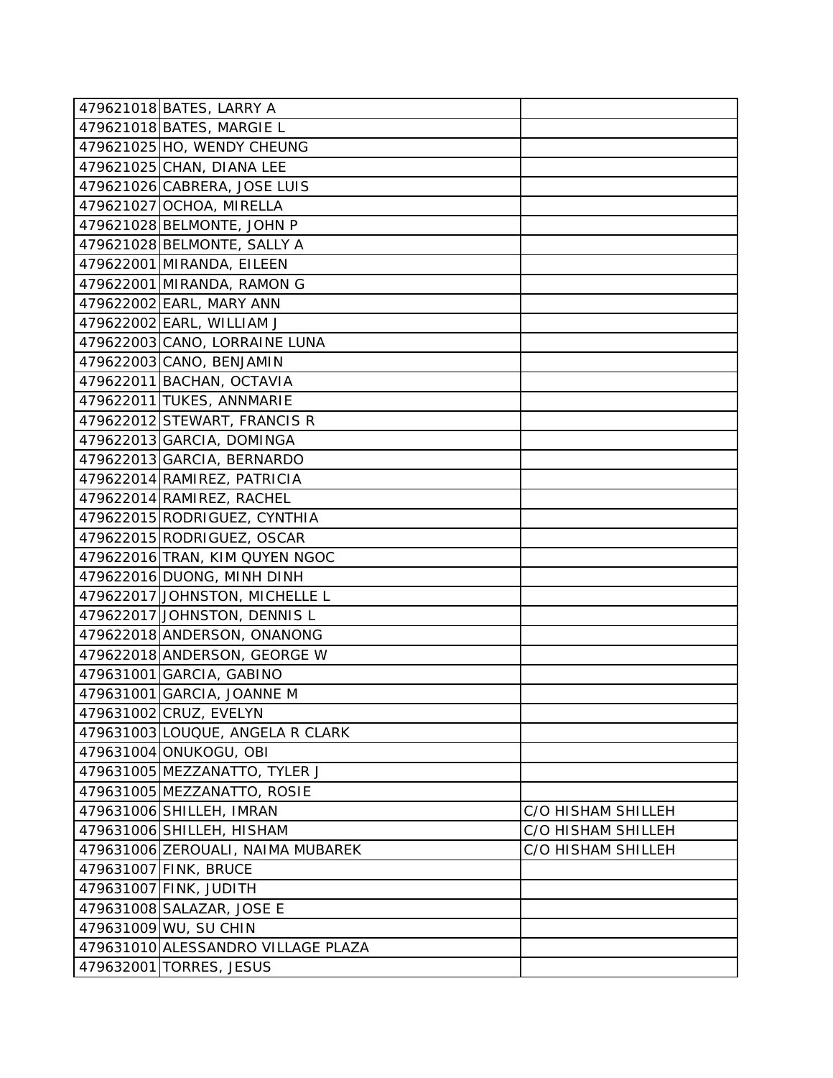| 479621018 BATES, LARRY A           |                    |
|------------------------------------|--------------------|
| 479621018 BATES, MARGIE L          |                    |
| 479621025 HO, WENDY CHEUNG         |                    |
| 479621025 CHAN, DIANA LEE          |                    |
| 479621026 CABRERA, JOSE LUIS       |                    |
| 479621027 OCHOA, MIRELLA           |                    |
| 479621028 BELMONTE, JOHN P         |                    |
| 479621028 BELMONTE, SALLY A        |                    |
| 479622001 MIRANDA, EILEEN          |                    |
| 479622001 MIRANDA, RAMON G         |                    |
| 479622002 EARL, MARY ANN           |                    |
| 479622002 EARL, WILLIAM J          |                    |
| 479622003 CANO, LORRAINE LUNA      |                    |
| 479622003 CANO, BENJAMIN           |                    |
| 479622011 BACHAN, OCTAVIA          |                    |
| 479622011 TUKES, ANNMARIE          |                    |
| 479622012 STEWART, FRANCIS R       |                    |
| 479622013 GARCIA, DOMINGA          |                    |
| 479622013 GARCIA, BERNARDO         |                    |
| 479622014 RAMIREZ, PATRICIA        |                    |
| 479622014 RAMIREZ, RACHEL          |                    |
| 479622015 RODRIGUEZ, CYNTHIA       |                    |
| 479622015 RODRIGUEZ, OSCAR         |                    |
| 479622016 TRAN, KIM QUYEN NGOC     |                    |
| 479622016 DUONG, MINH DINH         |                    |
| 479622017 JOHNSTON, MICHELLE L     |                    |
| 479622017 JOHNSTON, DENNIS L       |                    |
| 479622018 ANDERSON, ONANONG        |                    |
| 479622018 ANDERSON, GEORGE W       |                    |
| 479631001 GARCIA, GABINO           |                    |
| 479631001 GARCIA, JOANNE M         |                    |
| 479631002 CRUZ, EVELYN             |                    |
| 479631003 LOUQUE, ANGELA R CLARK   |                    |
| 479631004 ONUKOGU, OBI             |                    |
| 479631005 MEZZANATTO, TYLER J      |                    |
| 479631005 MEZZANATTO, ROSIE        |                    |
| 479631006 SHILLEH, IMRAN           | C/O HISHAM SHILLEH |
| 479631006 SHILLEH, HISHAM          | C/O HISHAM SHILLEH |
| 479631006 ZEROUALI, NAIMA MUBAREK  | C/O HISHAM SHILLEH |
| 479631007 FINK, BRUCE              |                    |
| 479631007 FINK, JUDITH             |                    |
| 479631008 SALAZAR, JOSE E          |                    |
| 479631009 WU, SU CHIN              |                    |
| 479631010 ALESSANDRO VILLAGE PLAZA |                    |
| 479632001 TORRES, JESUS            |                    |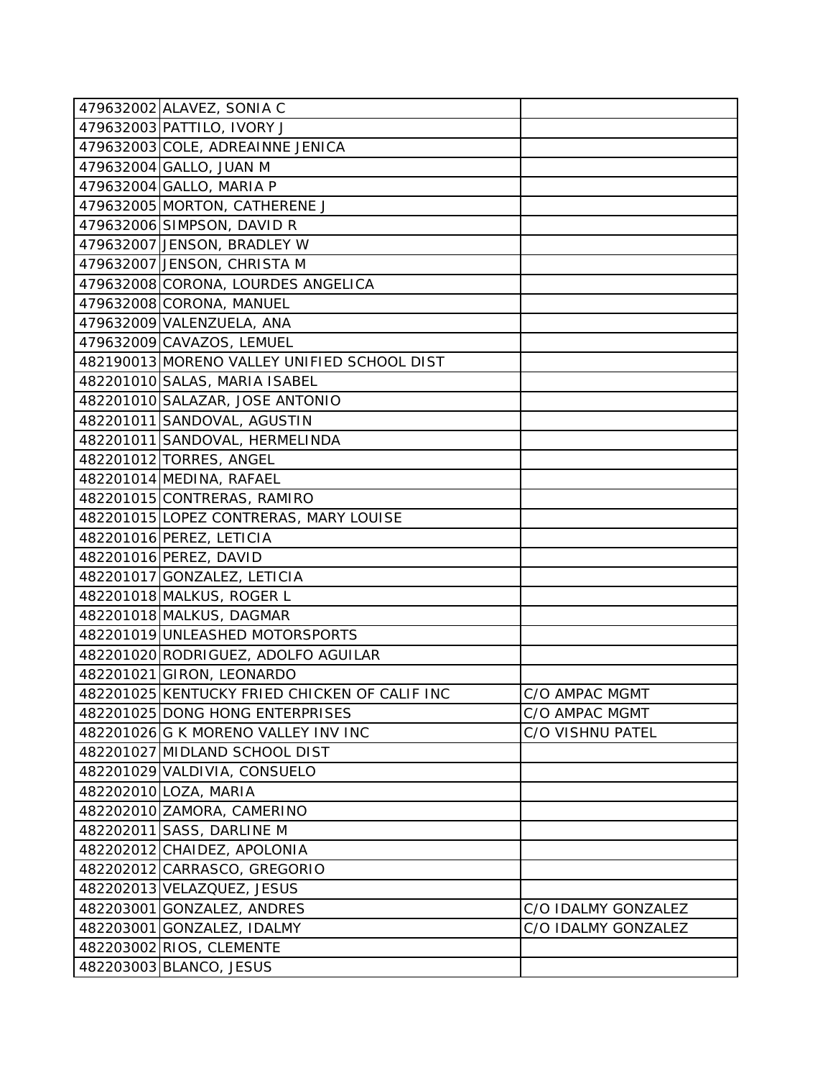| 479632002 ALAVEZ, SONIA C                     |                     |
|-----------------------------------------------|---------------------|
| 479632003 PATTILO, IVORY J                    |                     |
| 479632003 COLE, ADREAINNE JENICA              |                     |
| 479632004 GALLO, JUAN M                       |                     |
| 479632004 GALLO, MARIA P                      |                     |
| 479632005 MORTON, CATHERENE J                 |                     |
| 479632006 SIMPSON, DAVID R                    |                     |
| 479632007 JENSON, BRADLEY W                   |                     |
| 479632007 JENSON, CHRISTA M                   |                     |
| 479632008 CORONA, LOURDES ANGELICA            |                     |
| 479632008 CORONA, MANUEL                      |                     |
| 479632009 VALENZUELA, ANA                     |                     |
| 479632009 CAVAZOS, LEMUEL                     |                     |
| 482190013 MORENO VALLEY UNIFIED SCHOOL DIST   |                     |
| 482201010 SALAS, MARIA ISABEL                 |                     |
| 482201010 SALAZAR, JOSE ANTONIO               |                     |
| 482201011 SANDOVAL, AGUSTIN                   |                     |
| 482201011 SANDOVAL, HERMELINDA                |                     |
| 482201012 TORRES, ANGEL                       |                     |
| 482201014 MEDINA, RAFAEL                      |                     |
| 482201015 CONTRERAS, RAMIRO                   |                     |
| 482201015 LOPEZ CONTRERAS, MARY LOUISE        |                     |
| 482201016 PEREZ, LETICIA                      |                     |
| 482201016 PEREZ, DAVID                        |                     |
| 482201017 GONZALEZ, LETICIA                   |                     |
| 482201018 MALKUS, ROGER L                     |                     |
| 482201018 MALKUS, DAGMAR                      |                     |
| 482201019 UNLEASHED MOTORSPORTS               |                     |
| 482201020 RODRIGUEZ, ADOLFO AGUILAR           |                     |
| 482201021 GIRON, LEONARDO                     |                     |
| 482201025 KENTUCKY FRIED CHICKEN OF CALIF INC | C/O AMPAC MGMT      |
| 482201025 DONG HONG ENTERPRISES               | C/O AMPAC MGMT      |
| 482201026 G K MORENO VALLEY INV INC           | C/O VISHNU PATEL    |
| 482201027 MIDLAND SCHOOL DIST                 |                     |
| 482201029 VALDIVIA, CONSUELO                  |                     |
| 482202010 LOZA, MARIA                         |                     |
| 482202010 ZAMORA, CAMERINO                    |                     |
| 482202011 SASS, DARLINE M                     |                     |
| 482202012 CHAIDEZ, APOLONIA                   |                     |
| 482202012 CARRASCO, GREGORIO                  |                     |
| 482202013 VELAZQUEZ, JESUS                    |                     |
| 482203001 GONZALEZ, ANDRES                    | C/O IDALMY GONZALEZ |
| 482203001 GONZALEZ, IDALMY                    | C/O IDALMY GONZALEZ |
| 482203002 RIOS, CLEMENTE                      |                     |
| 482203003 BLANCO, JESUS                       |                     |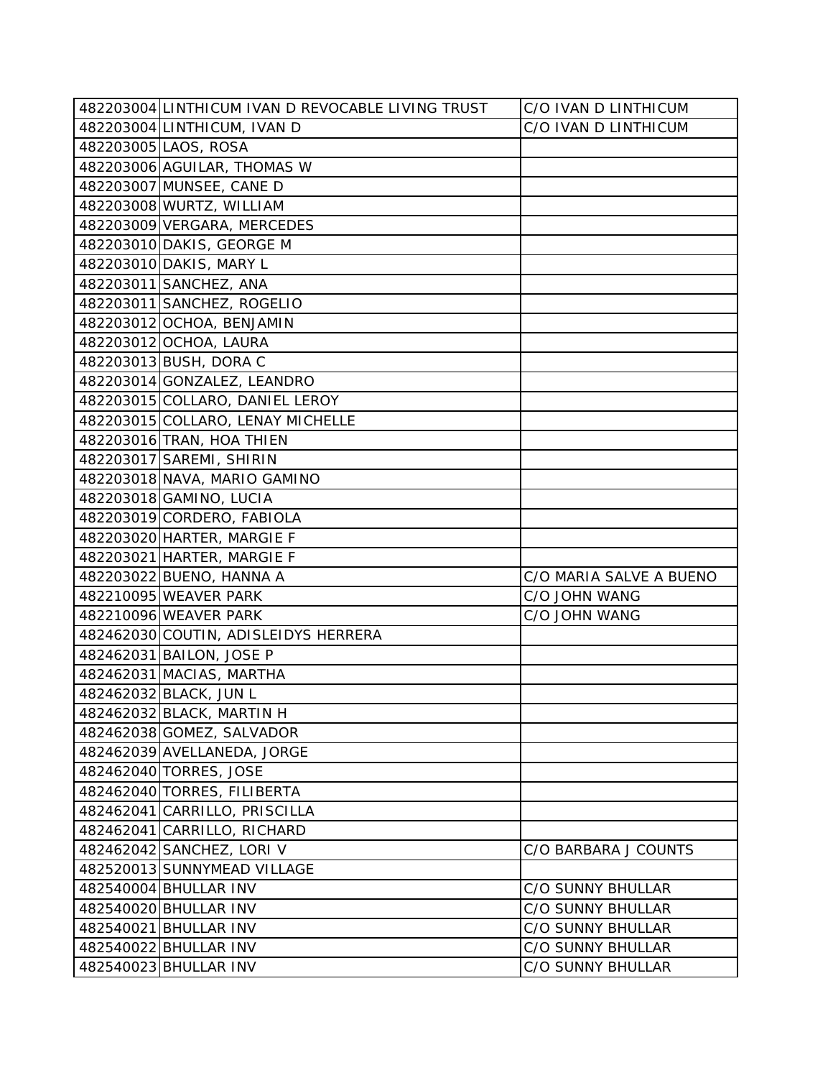| 482203004 LINTHICUM IVAN D REVOCABLE LIVING TRUST | C/O IVAN D LINTHICUM     |
|---------------------------------------------------|--------------------------|
| 482203004 LINTHICUM, IVAN D                       | C/O IVAN D LINTHICUM     |
| 482203005 LAOS, ROSA                              |                          |
| 482203006 AGUILAR, THOMAS W                       |                          |
| 482203007 MUNSEE, CANE D                          |                          |
| 482203008 WURTZ, WILLIAM                          |                          |
| 482203009 VERGARA, MERCEDES                       |                          |
| 482203010 DAKIS, GEORGE M                         |                          |
| 482203010 DAKIS, MARY L                           |                          |
| 482203011 SANCHEZ, ANA                            |                          |
| 482203011 SANCHEZ, ROGELIO                        |                          |
| 482203012 OCHOA, BENJAMIN                         |                          |
| 482203012 OCHOA, LAURA                            |                          |
| 482203013 BUSH, DORA C                            |                          |
| 482203014 GONZALEZ, LEANDRO                       |                          |
| 482203015 COLLARO, DANIEL LEROY                   |                          |
| 482203015 COLLARO, LENAY MICHELLE                 |                          |
| 482203016 TRAN, HOA THIEN                         |                          |
| 482203017 SAREMI, SHIRIN                          |                          |
| 482203018 NAVA, MARIO GAMINO                      |                          |
| 482203018 GAMINO, LUCIA                           |                          |
| 482203019 CORDERO, FABIOLA                        |                          |
| 482203020 HARTER, MARGIE F                        |                          |
| 482203021 HARTER, MARGIE F                        |                          |
| 482203022 BUENO, HANNA A                          | C/O MARIA SALVE A BUENO  |
| 482210095 WEAVER PARK                             | C/O JOHN WANG            |
| 482210096 WEAVER PARK                             | C/O JOHN WANG            |
| 482462030 COUTIN, ADISLEIDYS HERRERA              |                          |
| 482462031 BAILON, JOSE P                          |                          |
| 482462031 MACIAS, MARTHA                          |                          |
| 482462032 BLACK, JUN L                            |                          |
| 482462032 BLACK, MARTIN H                         |                          |
| 482462038 GOMEZ, SALVADOR                         |                          |
| 482462039 AVELLANEDA, JORGE                       |                          |
| 482462040 TORRES, JOSE                            |                          |
| 482462040 TORRES, FILIBERTA                       |                          |
| 482462041 CARRILLO, PRISCILLA                     |                          |
| 482462041 CARRILLO, RICHARD                       |                          |
| 482462042 SANCHEZ, LORI V                         | C/O BARBARA J COUNTS     |
| 482520013 SUNNYMEAD VILLAGE                       |                          |
| 482540004 BHULLAR INV                             | C/O SUNNY BHULLAR        |
| 482540020 BHULLAR INV                             | C/O SUNNY BHULLAR        |
| 482540021 BHULLAR INV                             | <b>C/O SUNNY BHULLAR</b> |
| 482540022 BHULLAR INV                             | C/O SUNNY BHULLAR        |
| 482540023 BHULLAR INV                             | C/O SUNNY BHULLAR        |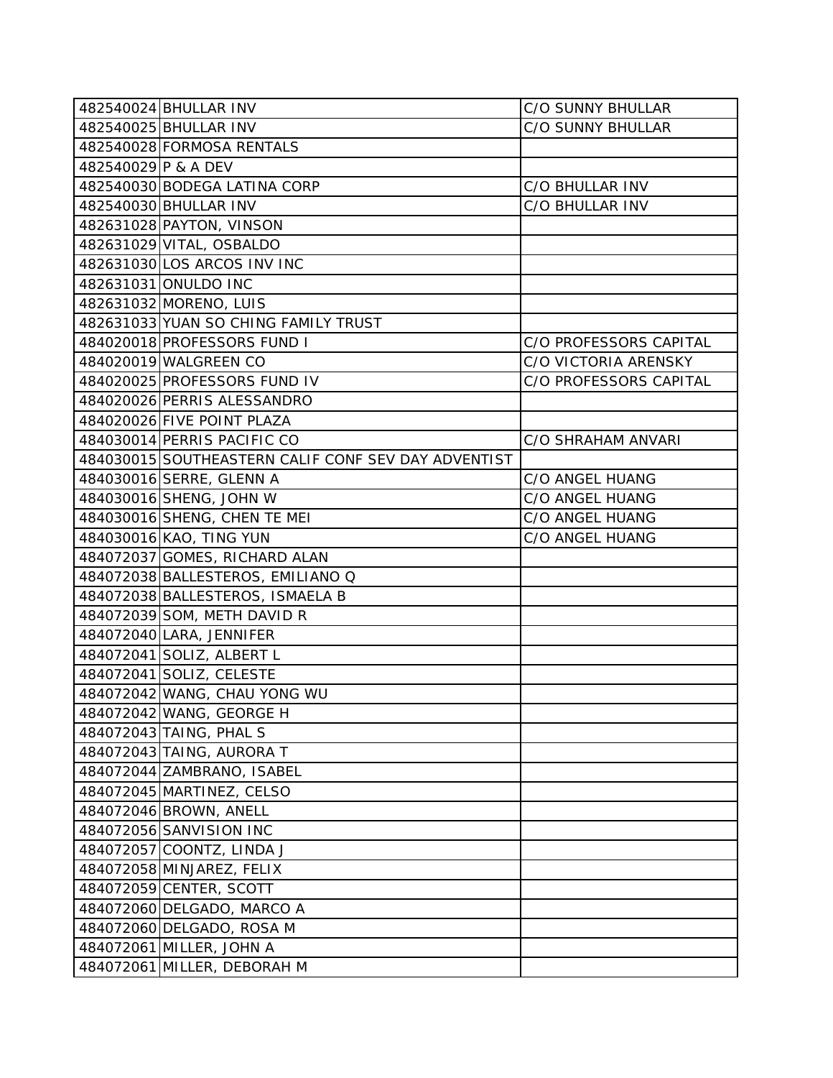|                     | 482540024 BHULLAR INV                               | C/O SUNNY BHULLAR        |  |
|---------------------|-----------------------------------------------------|--------------------------|--|
|                     | 482540025 BHULLAR INV                               | <b>C/O SUNNY BHULLAR</b> |  |
|                     | 482540028 FORMOSA RENTALS                           |                          |  |
| 482540029 P & A DEV |                                                     |                          |  |
|                     | 482540030 BODEGA LATINA CORP                        | C/O BHULLAR INV          |  |
|                     | 482540030 BHULLAR INV                               | C/O BHULLAR INV          |  |
|                     | 482631028 PAYTON, VINSON                            |                          |  |
|                     | 482631029 VITAL, OSBALDO                            |                          |  |
|                     | 482631030 LOS ARCOS INV INC                         |                          |  |
|                     | 482631031 ONULDO INC                                |                          |  |
|                     | 482631032 MORENO, LUIS                              |                          |  |
|                     | 482631033 YUAN SO CHING FAMILY TRUST                |                          |  |
|                     | 484020018 PROFESSORS FUND I                         | C/O PROFESSORS CAPITAL   |  |
|                     | 484020019 WALGREEN CO                               | C/O VICTORIA ARENSKY     |  |
|                     | 484020025 PROFESSORS FUND IV                        | C/O PROFESSORS CAPITAL   |  |
|                     | 484020026 PERRIS ALESSANDRO                         |                          |  |
|                     | 484020026 FIVE POINT PLAZA                          |                          |  |
|                     | 484030014 PERRIS PACIFIC CO                         | C/O SHRAHAM ANVARI       |  |
|                     | 484030015 SOUTHEASTERN CALIF CONF SEV DAY ADVENTIST |                          |  |
|                     | 484030016 SERRE, GLENN A                            | C/O ANGEL HUANG          |  |
|                     | 484030016 SHENG, JOHN W                             | C/O ANGEL HUANG          |  |
|                     | 484030016 SHENG, CHEN TE MEI                        | C/O ANGEL HUANG          |  |
|                     | 484030016 KAO, TING YUN<br>C/O ANGEL HUANG          |                          |  |
|                     | 484072037 GOMES, RICHARD ALAN                       |                          |  |
|                     | 484072038 BALLESTEROS, EMILIANO Q                   |                          |  |
|                     | 484072038 BALLESTEROS, ISMAELA B                    |                          |  |
|                     | 484072039 SOM, METH DAVID R                         |                          |  |
|                     | 484072040 LARA, JENNIFER                            |                          |  |
|                     | 484072041 SOLIZ, ALBERT L                           |                          |  |
|                     | 484072041 SOLIZ, CELESTE                            |                          |  |
|                     | 484072042 WANG, CHAU YONG WU                        |                          |  |
|                     | 484072042 WANG, GEORGE H                            |                          |  |
|                     | 484072043 TAING, PHAL S                             |                          |  |
|                     | 484072043 TAING, AURORA T                           |                          |  |
|                     | 484072044 ZAMBRANO, ISABEL                          |                          |  |
|                     | 484072045 MARTINEZ, CELSO                           |                          |  |
|                     | 484072046 BROWN, ANELL                              |                          |  |
|                     | 484072056 SANVISION INC                             |                          |  |
|                     | 484072057 COONTZ, LINDA J                           |                          |  |
|                     | 484072058 MINJAREZ, FELIX                           |                          |  |
|                     | 484072059 CENTER, SCOTT                             |                          |  |
|                     | 484072060 DELGADO, MARCO A                          |                          |  |
|                     | 484072060 DELGADO, ROSA M                           |                          |  |
|                     | 484072061 MILLER, JOHN A                            |                          |  |
|                     | 484072061 MILLER, DEBORAH M                         |                          |  |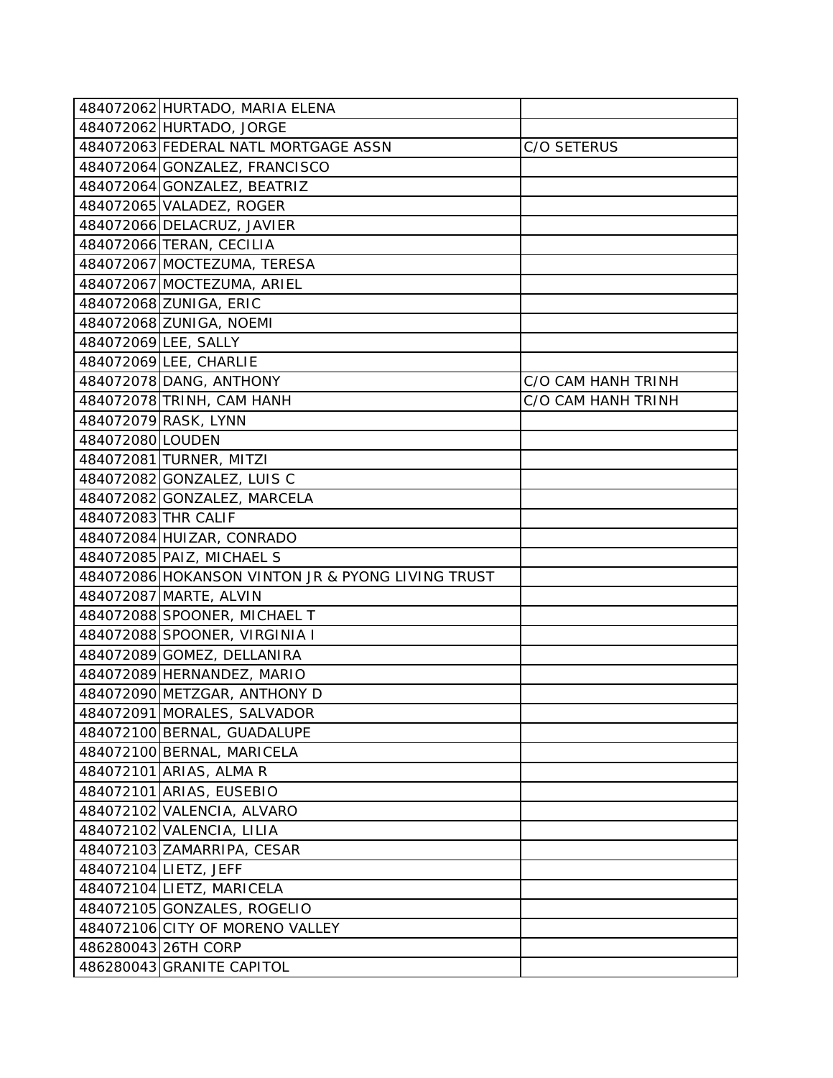|                      | 484072062 HURTADO, MARIA ELENA                    |                    |
|----------------------|---------------------------------------------------|--------------------|
|                      | 484072062 HURTADO, JORGE                          |                    |
|                      | 484072063 FEDERAL NATL MORTGAGE ASSN              | C/O SETERUS        |
|                      | 484072064 GONZALEZ, FRANCISCO                     |                    |
|                      | 484072064 GONZALEZ, BEATRIZ                       |                    |
|                      | 484072065 VALADEZ, ROGER                          |                    |
|                      | 484072066 DELACRUZ, JAVIER                        |                    |
|                      | 484072066 TERAN, CECILIA                          |                    |
|                      | 484072067 MOCTEZUMA, TERESA                       |                    |
|                      | 484072067 MOCTEZUMA, ARIEL                        |                    |
|                      | 484072068 ZUNIGA, ERIC                            |                    |
|                      | 484072068 ZUNIGA, NOEMI                           |                    |
| 484072069 LEE, SALLY |                                                   |                    |
|                      | 484072069 LEE, CHARLIE                            |                    |
|                      | 484072078 DANG, ANTHONY                           | C/O CAM HANH TRINH |
|                      | 484072078 TRINH, CAM HANH                         | C/O CAM HANH TRINH |
|                      | 484072079 RASK, LYNN                              |                    |
| 484072080 LOUDEN     |                                                   |                    |
|                      | 484072081 TURNER, MITZI                           |                    |
|                      | 484072082 GONZALEZ, LUIS C                        |                    |
|                      | 484072082 GONZALEZ, MARCELA                       |                    |
| 484072083 THR CALIF  |                                                   |                    |
|                      | 484072084 HUIZAR, CONRADO                         |                    |
|                      | 484072085 PAIZ, MICHAEL S                         |                    |
|                      | 484072086 HOKANSON VINTON JR & PYONG LIVING TRUST |                    |
|                      | 484072087 MARTE, ALVIN                            |                    |
|                      | 484072088 SPOONER, MICHAEL T                      |                    |
|                      | 484072088 SPOONER, VIRGINIA I                     |                    |
|                      | 484072089 GOMEZ, DELLANIRA                        |                    |
|                      | 484072089 HERNANDEZ, MARIO                        |                    |
|                      | 484072090 METZGAR, ANTHONY D                      |                    |
|                      | 484072091 MORALES, SALVADOR                       |                    |
|                      | 484072100 BERNAL, GUADALUPE                       |                    |
|                      | 484072100 BERNAL, MARICELA                        |                    |
|                      | 484072101 ARIAS, ALMA R                           |                    |
|                      | 484072101 ARIAS, EUSEBIO                          |                    |
|                      | 484072102 VALENCIA, ALVARO                        |                    |
|                      | 484072102 VALENCIA, LILIA                         |                    |
|                      | 484072103 ZAMARRIPA, CESAR                        |                    |
|                      | 484072104 LIETZ, JEFF                             |                    |
|                      | 484072104 LIETZ, MARICELA                         |                    |
|                      | 484072105 GONZALES, ROGELIO                       |                    |
|                      | 484072106 CITY OF MORENO VALLEY                   |                    |
|                      | 486280043 26TH CORP                               |                    |
|                      | 486280043 GRANITE CAPITOL                         |                    |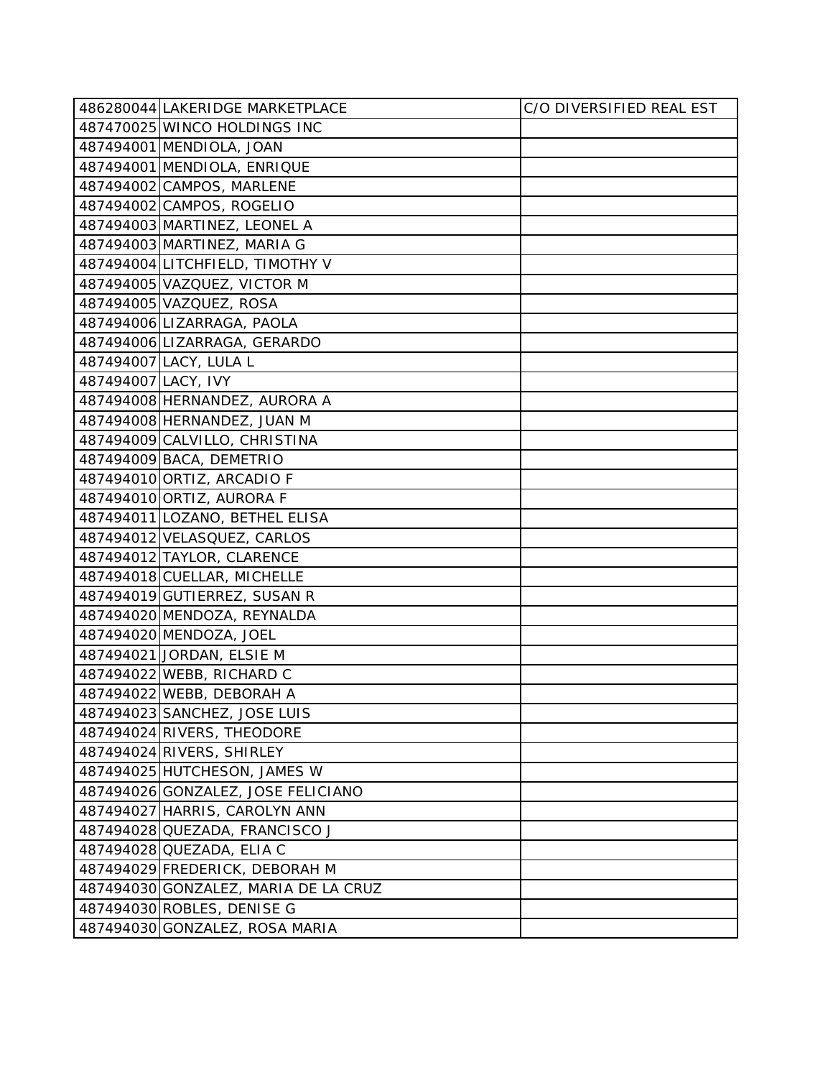|                     | 486280044 LAKERIDGE MARKETPLACE      | C/O DIVERSIFIED REAL EST |
|---------------------|--------------------------------------|--------------------------|
|                     | 487470025 WINCO HOLDINGS INC         |                          |
|                     | 487494001 MENDIOLA, JOAN             |                          |
|                     | 487494001 MENDIOLA, ENRIQUE          |                          |
|                     | 487494002 CAMPOS, MARLENE            |                          |
|                     | 487494002 CAMPOS, ROGELIO            |                          |
|                     | 487494003 MARTINEZ, LEONEL A         |                          |
|                     | 487494003 MARTINEZ, MARIA G          |                          |
|                     | 487494004 LITCHFIELD, TIMOTHY V      |                          |
|                     | 487494005 VAZQUEZ, VICTOR M          |                          |
|                     | 487494005 VAZQUEZ, ROSA              |                          |
|                     | 487494006 LIZARRAGA, PAOLA           |                          |
|                     | 487494006 LIZARRAGA, GERARDO         |                          |
|                     | 487494007 LACY, LULA L               |                          |
| 487494007 LACY, IVY |                                      |                          |
|                     | 487494008 HERNANDEZ, AURORA A        |                          |
|                     | 487494008 HERNANDEZ, JUAN M          |                          |
|                     | 487494009 CALVILLO, CHRISTINA        |                          |
|                     | 487494009 BACA, DEMETRIO             |                          |
|                     | 487494010 ORTIZ, ARCADIO F           |                          |
|                     | 487494010 ORTIZ, AURORA F            |                          |
|                     | 487494011 LOZANO, BETHEL ELISA       |                          |
|                     | 487494012 VELASQUEZ, CARLOS          |                          |
|                     | 487494012 TAYLOR, CLARENCE           |                          |
|                     | 487494018 CUELLAR, MICHELLE          |                          |
|                     | 487494019 GUTIERREZ, SUSAN R         |                          |
|                     | 487494020 MENDOZA, REYNALDA          |                          |
|                     | 487494020 MENDOZA, JOEL              |                          |
|                     | 487494021 JORDAN, ELSIE M            |                          |
|                     | 487494022 WEBB, RICHARD C            |                          |
|                     | 487494022 WEBB, DEBORAH A            |                          |
|                     | 487494023 SANCHEZ, JOSE LUIS         |                          |
|                     | 487494024 RIVERS, THEODORE           |                          |
|                     | 487494024 RIVERS, SHIRLEY            |                          |
|                     | 487494025 HUTCHESON, JAMES W         |                          |
|                     | 487494026 GONZALEZ, JOSE FELICIANO   |                          |
|                     | 487494027 HARRIS, CAROLYN ANN        |                          |
|                     | 487494028 QUEZADA, FRANCISCO J       |                          |
|                     | 487494028 QUEZADA, ELIA C            |                          |
|                     | 487494029 FREDERICK, DEBORAH M       |                          |
|                     | 487494030 GONZALEZ, MARIA DE LA CRUZ |                          |
|                     | 487494030 ROBLES, DENISE G           |                          |
|                     | 487494030 GONZALEZ, ROSA MARIA       |                          |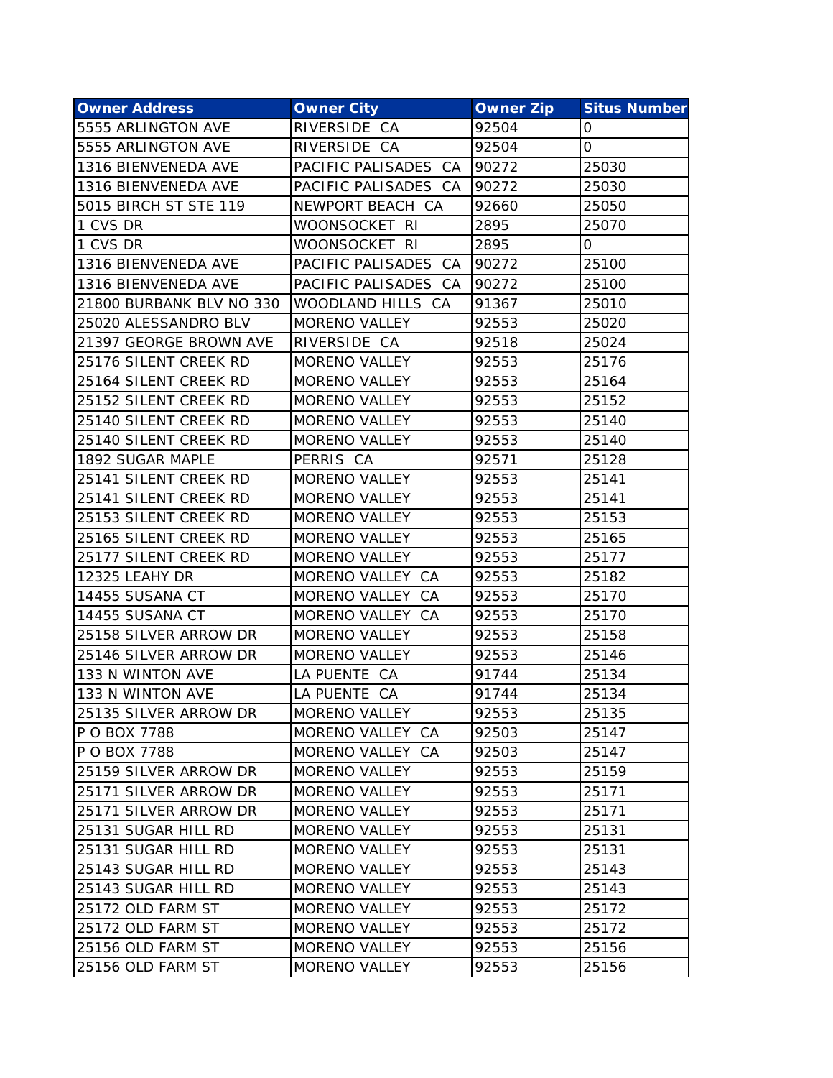| <b>Owner Address</b>     | <b>Owner City</b>    | <b>Owner Zip</b> | <b>Situs Number</b> |
|--------------------------|----------------------|------------------|---------------------|
| 5555 ARLINGTON AVE       | RIVERSIDE CA         | 92504            | 0                   |
| 5555 ARLINGTON AVE       | RIVERSIDE CA         | 92504            | 0                   |
| 1316 BIENVENEDA AVE      | PACIFIC PALISADES CA | 90272            | 25030               |
| 1316 BIENVENEDA AVE      | PACIFIC PALISADES CA | 90272            | 25030               |
| 5015 BIRCH ST STE 119    | NEWPORT BEACH CA     | 92660            | 25050               |
| 1 CVS DR                 | WOONSOCKET RI        | 2895             | 25070               |
| 1 CVS DR                 | WOONSOCKET RI        | 2895             | 0                   |
| 1316 BIENVENEDA AVE      | PACIFIC PALISADES CA | 90272            | 25100               |
| 1316 BIENVENEDA AVE      | PACIFIC PALISADES CA | 90272            | 25100               |
| 21800 BURBANK BLV NO 330 | WOODLAND HILLS CA    | 91367            | 25010               |
| 25020 ALESSANDRO BLV     | MORENO VALLEY        | 92553            | 25020               |
| 21397 GEORGE BROWN AVE   | RIVERSIDE CA         | 92518            | 25024               |
| 25176 SILENT CREEK RD    | MORENO VALLEY        | 92553            | 25176               |
| 25164 SILENT CREEK RD    | MORENO VALLEY        | 92553            | 25164               |
| 25152 SILENT CREEK RD    | <b>MORENO VALLEY</b> | 92553            | 25152               |
| 25140 SILENT CREEK RD    | <b>MORENO VALLEY</b> | 92553            | 25140               |
| 25140 SILENT CREEK RD    | <b>MORENO VALLEY</b> | 92553            | 25140               |
| 1892 SUGAR MAPLE         | PERRIS CA            | 92571            | 25128               |
| 25141 SILENT CREEK RD    | <b>MORENO VALLEY</b> | 92553            | 25141               |
| 25141 SILENT CREEK RD    | <b>MORENO VALLEY</b> | 92553            | 25141               |
| 25153 SILENT CREEK RD    | <b>MORENO VALLEY</b> | 92553            | 25153               |
| 25165 SILENT CREEK RD    | <b>MORENO VALLEY</b> | 92553            | 25165               |
| 25177 SILENT CREEK RD    | <b>MORENO VALLEY</b> | 92553            | 25177               |
| 12325 LEAHY DR           | MORENO VALLEY CA     | 92553            | 25182               |
| 14455 SUSANA CT          | MORENO VALLEY CA     | 92553            | 25170               |
| 14455 SUSANA CT          | MORENO VALLEY CA     | 92553            | 25170               |
| 25158 SILVER ARROW DR    | MORENO VALLEY        | 92553            | 25158               |
| 25146 SILVER ARROW DR    | MORENO VALLEY        | 92553            | 25146               |
| 133 N WINTON AVE         | LA PUENTE CA         | 91744            | 25134               |
| 133 N WINTON AVE         | LA PUENTE CA         | 91744            | 25134               |
| 25135 SILVER ARROW DR    | MORENO VALLEY        | 92553            | 25135               |
| P O BOX 7788             | MORENO VALLEY CA     | 92503            | 25147               |
| P O BOX 7788             | MORENO VALLEY CA     | 92503            | 25147               |
| 25159 SILVER ARROW DR    | <b>MORENO VALLEY</b> | 92553            | 25159               |
| 25171 SILVER ARROW DR    | MORENO VALLEY        | 92553            | 25171               |
| 25171 SILVER ARROW DR    | <b>MORENO VALLEY</b> | 92553            | 25171               |
| 25131 SUGAR HILL RD      | MORENO VALLEY        | 92553            | 25131               |
| 25131 SUGAR HILL RD      | <b>MORENO VALLEY</b> | 92553            | 25131               |
| 25143 SUGAR HILL RD      | MORENO VALLEY        | 92553            | 25143               |
| 25143 SUGAR HILL RD      | MORENO VALLEY        | 92553            | 25143               |
| 25172 OLD FARM ST        | MORENO VALLEY        | 92553            | 25172               |
| 25172 OLD FARM ST        | MORENO VALLEY        | 92553            | 25172               |
| 25156 OLD FARM ST        | MORENO VALLEY        | 92553            | 25156               |
| 25156 OLD FARM ST        | MORENO VALLEY        | 92553            | 25156               |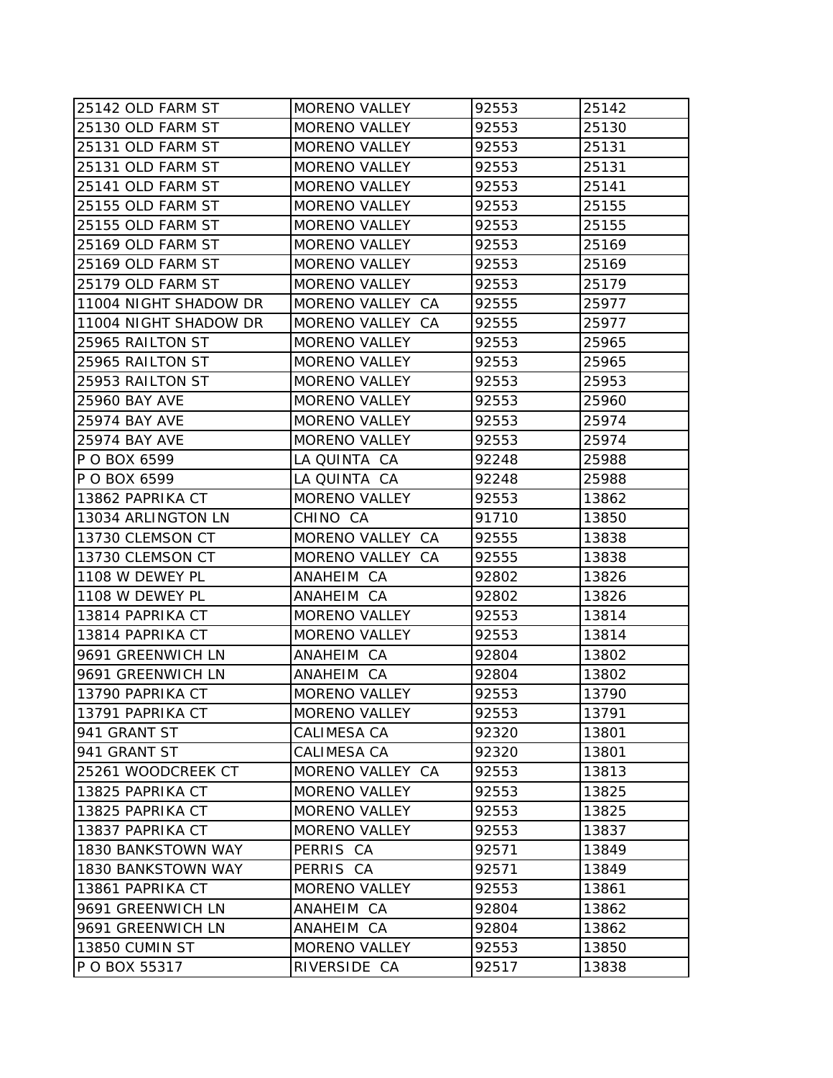| 25142 OLD FARM ST     | <b>MORENO VALLEY</b> | 92553 | 25142 |
|-----------------------|----------------------|-------|-------|
| 25130 OLD FARM ST     | <b>MORENO VALLEY</b> | 92553 | 25130 |
| 25131 OLD FARM ST     | <b>MORENO VALLEY</b> | 92553 | 25131 |
| 25131 OLD FARM ST     | <b>MORENO VALLEY</b> | 92553 | 25131 |
| 25141 OLD FARM ST     | <b>MORENO VALLEY</b> | 92553 | 25141 |
| 25155 OLD FARM ST     | <b>MORENO VALLEY</b> | 92553 | 25155 |
| 25155 OLD FARM ST     | <b>MORENO VALLEY</b> | 92553 | 25155 |
| 25169 OLD FARM ST     | <b>MORENO VALLEY</b> | 92553 | 25169 |
| 25169 OLD FARM ST     | <b>MORENO VALLEY</b> | 92553 | 25169 |
| 25179 OLD FARM ST     | <b>MORENO VALLEY</b> | 92553 | 25179 |
| 11004 NIGHT SHADOW DR | MORENO VALLEY CA     | 92555 | 25977 |
| 11004 NIGHT SHADOW DR | MORENO VALLEY CA     | 92555 | 25977 |
| 25965 RAILTON ST      | <b>MORENO VALLEY</b> | 92553 | 25965 |
| 25965 RAILTON ST      | <b>MORENO VALLEY</b> | 92553 | 25965 |
| 25953 RAILTON ST      | <b>MORENO VALLEY</b> | 92553 | 25953 |
| <b>25960 BAY AVE</b>  | <b>MORENO VALLEY</b> | 92553 | 25960 |
| 25974 BAY AVE         | <b>MORENO VALLEY</b> | 92553 | 25974 |
| <b>25974 BAY AVE</b>  | <b>MORENO VALLEY</b> | 92553 | 25974 |
| P O BOX 6599          | LA QUINTA CA         | 92248 | 25988 |
| P O BOX 6599          | LA QUINTA CA         | 92248 | 25988 |
| 13862 PAPRIKA CT      | <b>MORENO VALLEY</b> | 92553 | 13862 |
| 13034 ARLINGTON LN    | CHINO CA             | 91710 | 13850 |
| 13730 CLEMSON CT      | MORENO VALLEY CA     | 92555 | 13838 |
| 13730 CLEMSON CT      | MORENO VALLEY CA     | 92555 | 13838 |
| 1108 W DEWEY PL       | ANAHEIM CA           | 92802 | 13826 |
| 1108 W DEWEY PL       | ANAHEIM CA           | 92802 | 13826 |
| 13814 PAPRIKA CT      | <b>MORENO VALLEY</b> | 92553 | 13814 |
| 13814 PAPRIKA CT      | <b>MORENO VALLEY</b> | 92553 | 13814 |
| 9691 GREENWICH LN     | ANAHEIM CA           | 92804 | 13802 |
| 9691 GREENWICH LN     | ANAHEIM CA           | 92804 | 13802 |
| 13790 PAPRIKA CT      | <b>MORENO VALLEY</b> | 92553 | 13790 |
| 13791 PAPRIKA CT      | <b>MORENO VALLEY</b> | 92553 | 13791 |
| 941 GRANT ST          | CALIMESA CA          | 92320 | 13801 |
| 941 GRANT ST          | CALIMESA CA          | 92320 | 13801 |
| 25261 WOODCREEK CT    | MORENO VALLEY CA     | 92553 | 13813 |
| 13825 PAPRIKA CT      | <b>MORENO VALLEY</b> | 92553 | 13825 |
| 13825 PAPRIKA CT      | <b>MORENO VALLEY</b> | 92553 | 13825 |
| 13837 PAPRIKA CT      | MORENO VALLEY        | 92553 | 13837 |
| 1830 BANKSTOWN WAY    | PERRIS CA            | 92571 | 13849 |
| 1830 BANKSTOWN WAY    | PERRIS CA            | 92571 | 13849 |
| 13861 PAPRIKA CT      | <b>MORENO VALLEY</b> | 92553 | 13861 |
| 9691 GREENWICH LN     | ANAHEIM CA           | 92804 | 13862 |
| 9691 GREENWICH LN     | ANAHEIM CA           | 92804 | 13862 |
| 13850 CUMIN ST        | <b>MORENO VALLEY</b> | 92553 | 13850 |
| P O BOX 55317         | RIVERSIDE CA         | 92517 | 13838 |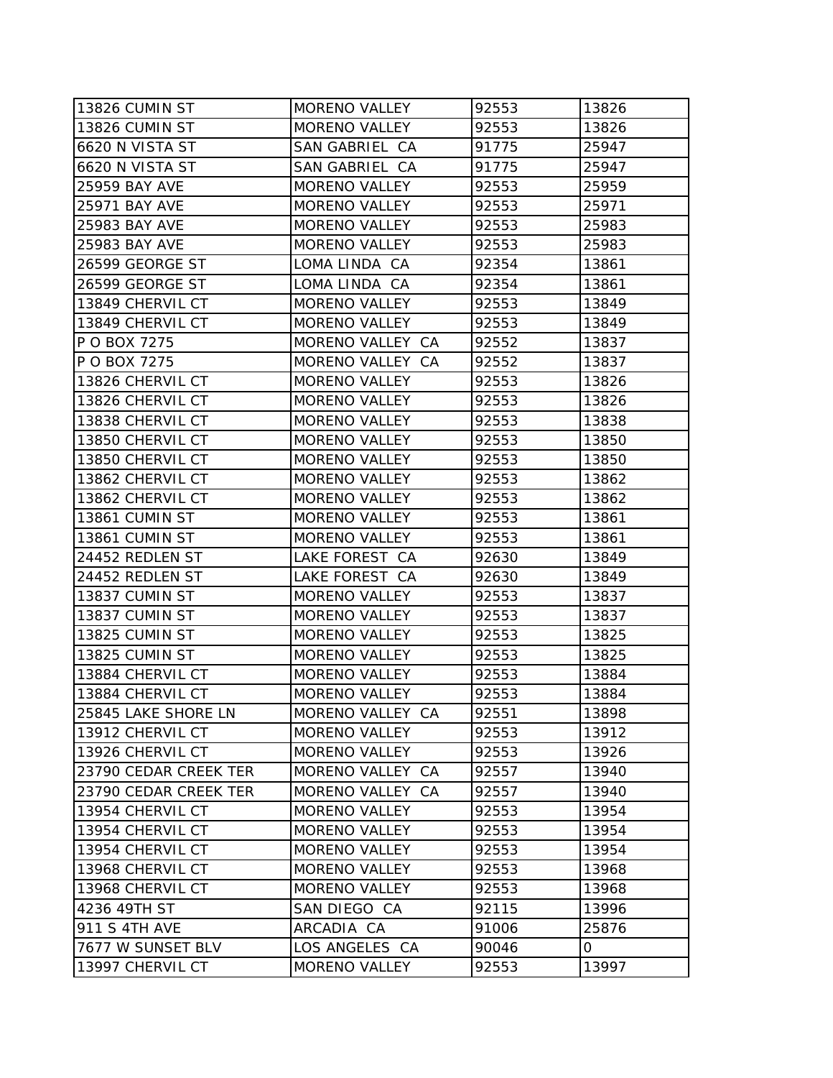| 13826 CUMIN ST        | <b>MORENO VALLEY</b> | 92553 | 13826 |
|-----------------------|----------------------|-------|-------|
| 13826 CUMIN ST        | <b>MORENO VALLEY</b> | 92553 | 13826 |
| 6620 N VISTA ST       | SAN GABRIEL CA       | 91775 | 25947 |
| 6620 N VISTA ST       | SAN GABRIEL CA       | 91775 | 25947 |
| 25959 BAY AVE         | <b>MORENO VALLEY</b> | 92553 | 25959 |
| <b>25971 BAY AVE</b>  | <b>MORENO VALLEY</b> | 92553 | 25971 |
| 25983 BAY AVE         | <b>MORENO VALLEY</b> | 92553 | 25983 |
| 25983 BAY AVE         | <b>MORENO VALLEY</b> | 92553 | 25983 |
| 26599 GEORGE ST       | LOMA LINDA CA        | 92354 | 13861 |
| 26599 GEORGE ST       | LOMA LINDA CA        | 92354 | 13861 |
| 13849 CHERVIL CT      | <b>MORENO VALLEY</b> | 92553 | 13849 |
| 13849 CHERVIL CT      | <b>MORENO VALLEY</b> | 92553 | 13849 |
| P O BOX 7275          | MORENO VALLEY CA     | 92552 | 13837 |
| P O BOX 7275          | MORENO VALLEY CA     | 92552 | 13837 |
| 13826 CHERVIL CT      | <b>MORENO VALLEY</b> | 92553 | 13826 |
| 13826 CHERVIL CT      | <b>MORENO VALLEY</b> | 92553 | 13826 |
| 13838 CHERVIL CT      | <b>MORENO VALLEY</b> | 92553 | 13838 |
| 13850 CHERVIL CT      | <b>MORENO VALLEY</b> | 92553 | 13850 |
| 13850 CHERVIL CT      | <b>MORENO VALLEY</b> | 92553 | 13850 |
| 13862 CHERVIL CT      | MORENO VALLEY        | 92553 | 13862 |
| 13862 CHERVIL CT      | <b>MORENO VALLEY</b> | 92553 | 13862 |
| 13861 CUMIN ST        | <b>MORENO VALLEY</b> | 92553 | 13861 |
| 13861 CUMIN ST        | <b>MORENO VALLEY</b> | 92553 | 13861 |
| 24452 REDLEN ST       | LAKE FOREST CA       | 92630 | 13849 |
| 24452 REDLEN ST       | LAKE FOREST CA       | 92630 | 13849 |
| 13837 CUMIN ST        | <b>MORENO VALLEY</b> | 92553 | 13837 |
| 13837 CUMIN ST        | <b>MORENO VALLEY</b> | 92553 | 13837 |
| 13825 CUMIN ST        | <b>MORENO VALLEY</b> | 92553 | 13825 |
| 13825 CUMIN ST        | <b>MORENO VALLEY</b> | 92553 | 13825 |
| 13884 CHERVIL CT      | <b>MORENO VALLEY</b> | 92553 | 13884 |
| 13884 CHERVIL CT      | <b>MORENO VALLEY</b> | 92553 | 13884 |
| 25845 LAKE SHORE LN   | MORENO VALLEY CA     | 92551 | 13898 |
| 13912 CHERVIL CT      | <b>MORENO VALLEY</b> | 92553 | 13912 |
| 13926 CHERVIL CT      | <b>MORENO VALLEY</b> | 92553 | 13926 |
| 23790 CEDAR CREEK TER | MORENO VALLEY CA     | 92557 | 13940 |
| 23790 CEDAR CREEK TER | MORENO VALLEY CA     | 92557 | 13940 |
| 13954 CHERVIL CT      | <b>MORENO VALLEY</b> | 92553 | 13954 |
| 13954 CHERVIL CT      | <b>MORENO VALLEY</b> | 92553 | 13954 |
| 13954 CHERVIL CT      | <b>MORENO VALLEY</b> | 92553 | 13954 |
| 13968 CHERVIL CT      | <b>MORENO VALLEY</b> | 92553 | 13968 |
| 13968 CHERVIL CT      | <b>MORENO VALLEY</b> | 92553 | 13968 |
| 4236 49TH ST          | SAN DIEGO CA         | 92115 | 13996 |
| 911 S 4TH AVE         | ARCADIA CA           | 91006 | 25876 |
| 7677 W SUNSET BLV     | LOS ANGELES CA       | 90046 | 0     |
| 13997 CHERVIL CT      | <b>MORENO VALLEY</b> | 92553 | 13997 |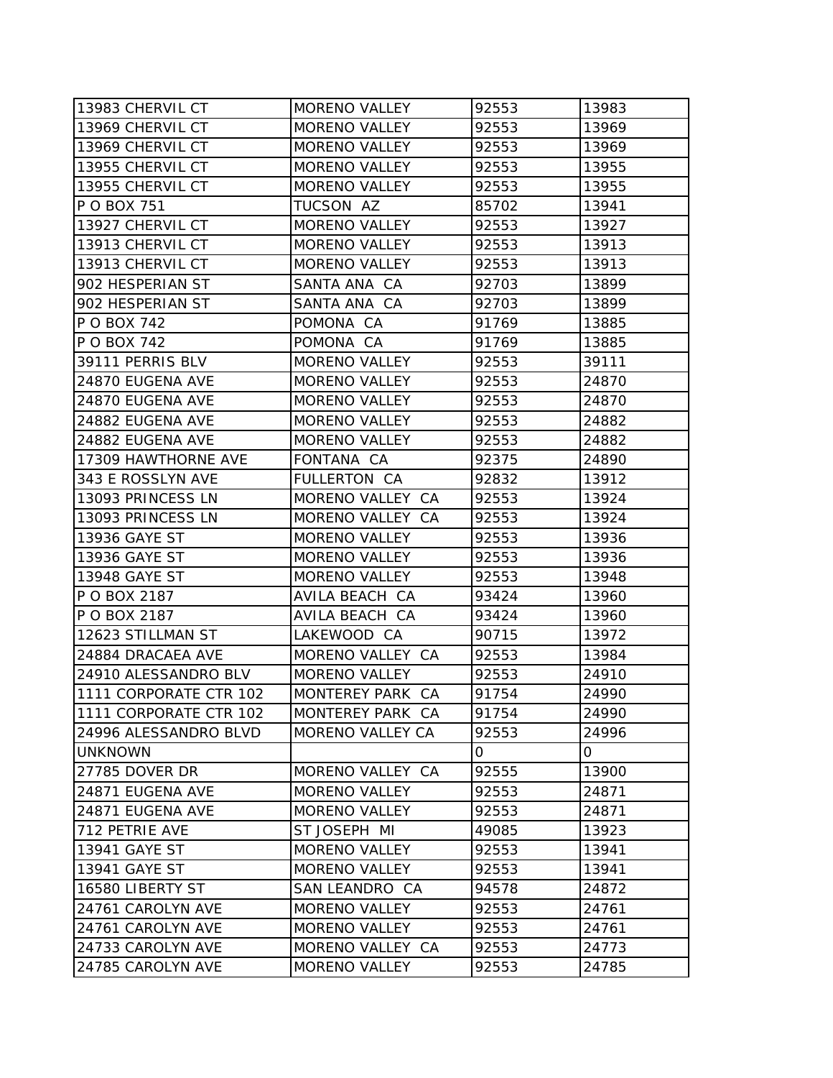| 13983 CHERVIL CT        | <b>MORENO VALLEY</b> | 92553 | 13983 |
|-------------------------|----------------------|-------|-------|
| 13969 CHERVIL CT        | <b>MORENO VALLEY</b> | 92553 | 13969 |
| 13969 CHERVIL CT        | <b>MORENO VALLEY</b> | 92553 | 13969 |
| 13955 CHERVIL CT        | <b>MORENO VALLEY</b> | 92553 | 13955 |
| 13955 CHERVIL CT        | MORENO VALLEY        | 92553 | 13955 |
| P O BOX 751             | TUCSON AZ            | 85702 | 13941 |
| 13927 CHERVIL CT        | <b>MORENO VALLEY</b> | 92553 | 13927 |
| 13913 CHERVIL CT        | <b>MORENO VALLEY</b> | 92553 | 13913 |
| 13913 CHERVIL CT        | <b>MORENO VALLEY</b> | 92553 | 13913 |
| 902 HESPERIAN ST        | SANTA ANA CA         | 92703 | 13899 |
| 902 HESPERIAN ST        | SANTA ANA CA         | 92703 | 13899 |
| P O BOX 742             | POMONA CA            | 91769 | 13885 |
| P O BOX 742             | POMONA CA            | 91769 | 13885 |
| 39111 PERRIS BLV        | <b>MORENO VALLEY</b> | 92553 | 39111 |
| 24870 EUGENA AVE        | <b>MORENO VALLEY</b> | 92553 | 24870 |
| 24870 EUGENA AVE        | <b>MORENO VALLEY</b> | 92553 | 24870 |
| 24882 EUGENA AVE        | <b>MORENO VALLEY</b> | 92553 | 24882 |
| 24882 EUGENA AVE        | <b>MORENO VALLEY</b> | 92553 | 24882 |
| 17309 HAWTHORNE AVE     | FONTANA CA           | 92375 | 24890 |
| 343 E ROSSLYN AVE       | <b>FULLERTON CA</b>  | 92832 | 13912 |
| 13093 PRINCESS LN       | MORENO VALLEY CA     | 92553 | 13924 |
| 13093 PRINCESS LN       | MORENO VALLEY CA     | 92553 | 13924 |
| 13936 GAYE ST           | <b>MORENO VALLEY</b> | 92553 | 13936 |
| 13936 GAYE ST           | <b>MORENO VALLEY</b> | 92553 | 13936 |
| 13948 GAYE ST           | <b>MORENO VALLEY</b> | 92553 | 13948 |
| P O BOX 2187            | AVILA BEACH CA       | 93424 | 13960 |
| P O BOX 2187            | AVILA BEACH CA       | 93424 | 13960 |
| 12623 STILLMAN ST       | LAKEWOOD CA          | 90715 | 13972 |
| 24884 DRACAEA AVE       | MORENO VALLEY CA     | 92553 | 13984 |
| 24910 ALESSANDRO BLV    | <b>MORENO VALLEY</b> | 92553 | 24910 |
| 1111 CORPORATE CTR 102  | MONTEREY PARK CA     | 91754 | 24990 |
| 11111 CORPORATE CTR 102 | MONTEREY PARK CA     | 91754 | 24990 |
| 24996 ALESSANDRO BLVD   | MORENO VALLEY CA     | 92553 | 24996 |
| <b>UNKNOWN</b>          |                      | 0     | 0     |
| 27785 DOVER DR          | MORENO VALLEY CA     | 92555 | 13900 |
| 24871 EUGENA AVE        | <b>MORENO VALLEY</b> | 92553 | 24871 |
| 24871 EUGENA AVE        | <b>MORENO VALLEY</b> | 92553 | 24871 |
| 712 PETRIE AVE          | ST JOSEPH MI         | 49085 | 13923 |
| 13941 GAYE ST           | <b>MORENO VALLEY</b> | 92553 | 13941 |
| 13941 GAYE ST           | <b>MORENO VALLEY</b> | 92553 | 13941 |
| 16580 LIBERTY ST        | SAN LEANDRO CA       | 94578 | 24872 |
| 24761 CAROLYN AVE       | <b>MORENO VALLEY</b> | 92553 | 24761 |
| 24761 CAROLYN AVE       | <b>MORENO VALLEY</b> | 92553 | 24761 |
| 24733 CAROLYN AVE       | MORENO VALLEY CA     | 92553 | 24773 |
| 24785 CAROLYN AVE       | <b>MORENO VALLEY</b> | 92553 | 24785 |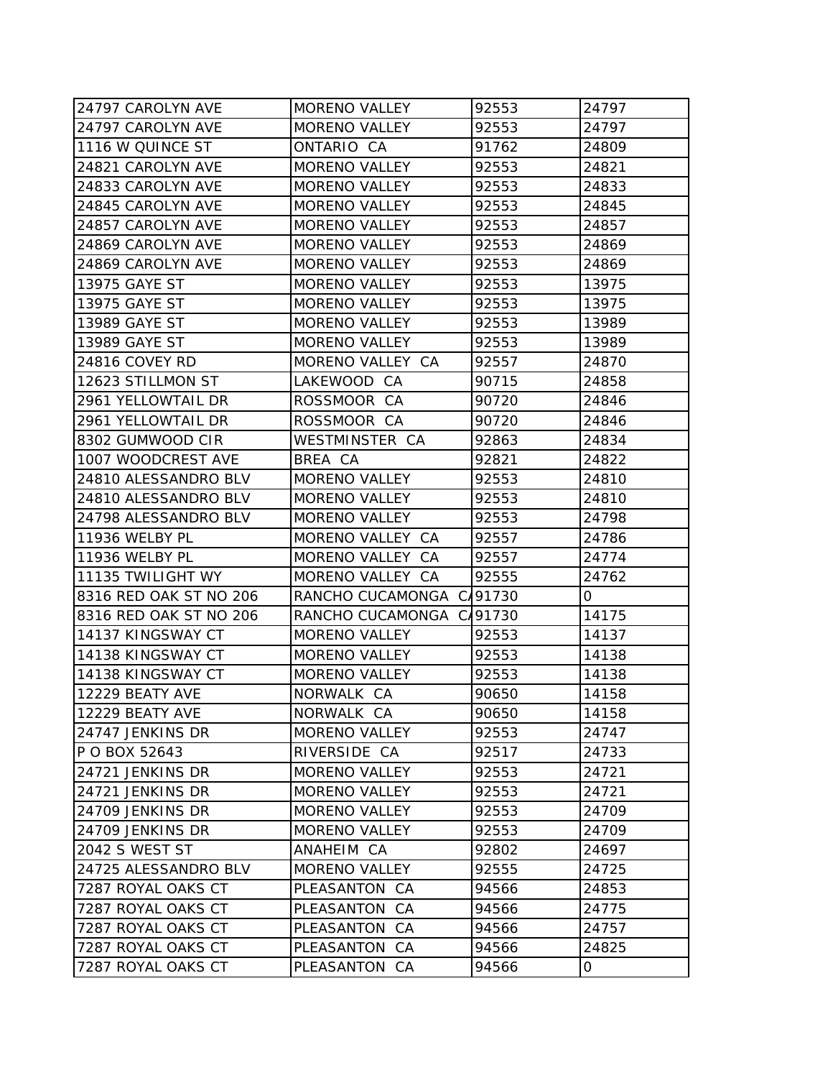| 24797 CAROLYN AVE      | <b>MORENO VALLEY</b>     | 92553 | 24797 |
|------------------------|--------------------------|-------|-------|
| 24797 CAROLYN AVE      | <b>MORENO VALLEY</b>     | 92553 | 24797 |
| 1116 W QUINCE ST       | ONTARIO CA               | 91762 | 24809 |
| 24821 CAROLYN AVE      | <b>MORENO VALLEY</b>     | 92553 | 24821 |
| 24833 CAROLYN AVE      | <b>MORENO VALLEY</b>     | 92553 | 24833 |
| 24845 CAROLYN AVE      | <b>MORENO VALLEY</b>     | 92553 | 24845 |
| 24857 CAROLYN AVE      | <b>MORENO VALLEY</b>     | 92553 | 24857 |
| 24869 CAROLYN AVE      | <b>MORENO VALLEY</b>     | 92553 | 24869 |
| 24869 CAROLYN AVE      | <b>MORENO VALLEY</b>     | 92553 | 24869 |
| 13975 GAYE ST          | <b>MORENO VALLEY</b>     | 92553 | 13975 |
| 13975 GAYE ST          | <b>MORENO VALLEY</b>     | 92553 | 13975 |
| 13989 GAYE ST          | <b>MORENO VALLEY</b>     | 92553 | 13989 |
| 13989 GAYE ST          | <b>MORENO VALLEY</b>     | 92553 | 13989 |
| 24816 COVEY RD         | MORENO VALLEY CA         | 92557 | 24870 |
| 12623 STILLMON ST      | LAKEWOOD CA              | 90715 | 24858 |
| 2961 YELLOWTAIL DR     | ROSSMOOR CA              | 90720 | 24846 |
| 2961 YELLOWTAIL DR     | ROSSMOOR CA              | 90720 | 24846 |
| 8302 GUMWOOD CIR       | WESTMINSTER CA           | 92863 | 24834 |
| 1007 WOODCREST AVE     | BREA CA                  | 92821 | 24822 |
| 24810 ALESSANDRO BLV   | <b>MORENO VALLEY</b>     | 92553 | 24810 |
| 24810 ALESSANDRO BLV   | <b>MORENO VALLEY</b>     | 92553 | 24810 |
| 24798 ALESSANDRO BLV   | <b>MORENO VALLEY</b>     | 92553 | 24798 |
| 11936 WELBY PL         | MORENO VALLEY CA         | 92557 | 24786 |
| 11936 WELBY PL         | MORENO VALLEY CA         | 92557 | 24774 |
| 11135 TWILIGHT WY      | MORENO VALLEY CA         | 92555 | 24762 |
| 8316 RED OAK ST NO 206 | RANCHO CUCAMONGA C/91730 |       | 0     |
| 8316 RED OAK ST NO 206 | RANCHO CUCAMONGA C/91730 |       | 14175 |
| 14137 KINGSWAY CT      | <b>MORENO VALLEY</b>     | 92553 | 14137 |
| 14138 KINGSWAY CT      | <b>MORENO VALLEY</b>     | 92553 | 14138 |
| 14138 KINGSWAY CT      | <b>MORENO VALLEY</b>     | 92553 | 14138 |
| 12229 BEATY AVE        | NORWALK CA               | 90650 | 14158 |
| 12229 BEATY AVE        | NORWALK CA               | 90650 | 14158 |
| 24747 JENKINS DR       | <b>MORENO VALLEY</b>     | 92553 | 24747 |
| P O BOX 52643          | RIVERSIDE CA             | 92517 | 24733 |
| 24721 JENKINS DR       | <b>MORENO VALLEY</b>     | 92553 | 24721 |
| 24721 JENKINS DR       | <b>MORENO VALLEY</b>     | 92553 | 24721 |
| 24709 JENKINS DR       | <b>MORENO VALLEY</b>     | 92553 | 24709 |
| 24709 JENKINS DR       | <b>MORENO VALLEY</b>     | 92553 | 24709 |
| 2042 S WEST ST         | ANAHEIM CA               | 92802 | 24697 |
| 24725 ALESSANDRO BLV   | <b>MORENO VALLEY</b>     | 92555 | 24725 |
| 7287 ROYAL OAKS CT     | PLEASANTON CA            | 94566 | 24853 |
| 7287 ROYAL OAKS CT     | PLEASANTON CA            | 94566 | 24775 |
| 7287 ROYAL OAKS CT     | PLEASANTON CA            | 94566 | 24757 |
| 7287 ROYAL OAKS CT     | PLEASANTON CA            | 94566 | 24825 |
| 7287 ROYAL OAKS CT     | PLEASANTON CA            | 94566 | 0     |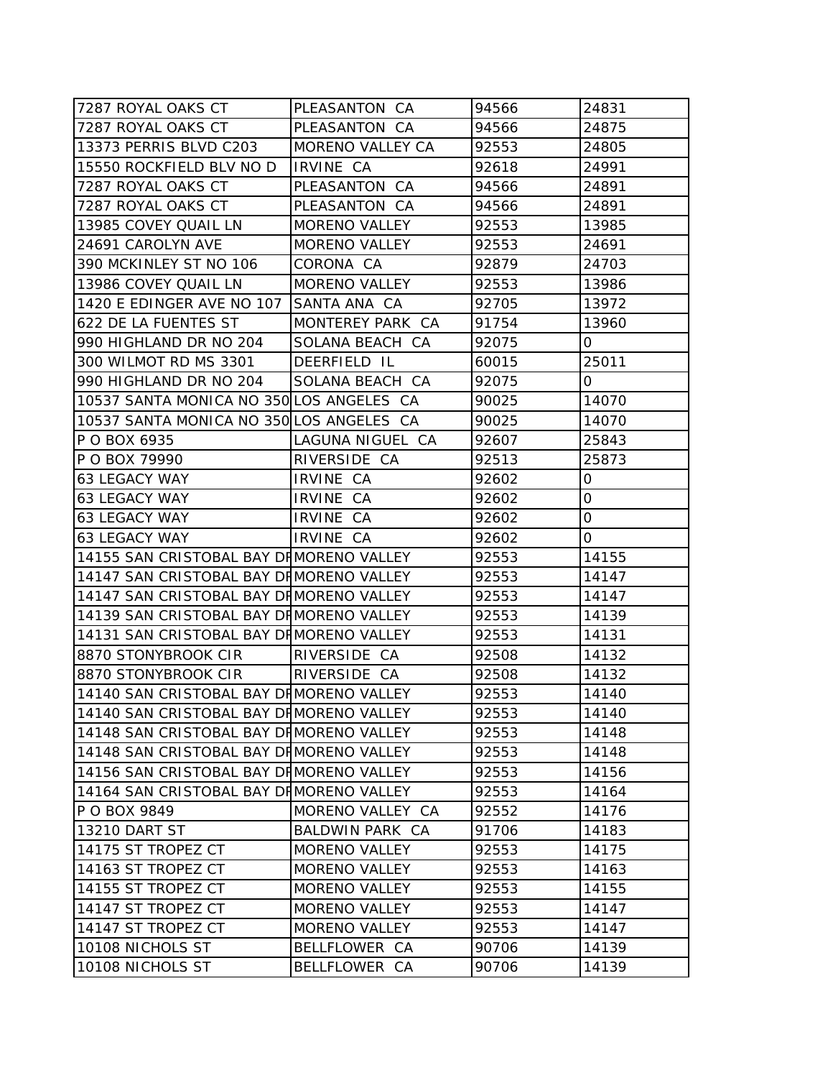| 7287 ROYAL OAKS CT                       | PLEASANTON CA        | 94566 | 24831 |
|------------------------------------------|----------------------|-------|-------|
| 7287 ROYAL OAKS CT                       | PLEASANTON CA        | 94566 | 24875 |
| 13373 PERRIS BLVD C203                   | MORENO VALLEY CA     | 92553 | 24805 |
| 15550 ROCKFIELD BLV NO D                 | IRVINE CA            | 92618 | 24991 |
| 7287 ROYAL OAKS CT                       | PLEASANTON CA        | 94566 | 24891 |
| 7287 ROYAL OAKS CT                       | PLEASANTON CA        | 94566 | 24891 |
| 13985 COVEY QUAIL LN                     | MORENO VALLEY        | 92553 | 13985 |
| 24691 CAROLYN AVE                        | <b>MORENO VALLEY</b> | 92553 | 24691 |
| 390 MCKINLEY ST NO 106                   | CORONA CA            | 92879 | 24703 |
| 13986 COVEY QUAIL LN                     | <b>MORENO VALLEY</b> | 92553 | 13986 |
| 1420 E EDINGER AVE NO 107 SANTA ANA CA   |                      | 92705 | 13972 |
| 622 DE LA FUENTES ST                     | MONTEREY PARK CA     | 91754 | 13960 |
| 990 HIGHLAND DR NO 204                   | SOLANA BEACH CA      | 92075 | 0     |
| 300 WILMOT RD MS 3301                    | DEERFIELD IL         | 60015 | 25011 |
| 990 HIGHLAND DR NO 204                   | SOLANA BEACH CA      | 92075 | 0     |
| 10537 SANTA MONICA NO 350 LOS ANGELES CA |                      | 90025 | 14070 |
| 10537 SANTA MONICA NO 350 LOS ANGELES CA |                      | 90025 | 14070 |
| P O BOX 6935                             | LAGUNA NIGUEL CA     | 92607 | 25843 |
| P O BOX 79990                            | RIVERSIDE CA         | 92513 | 25873 |
| 63 LEGACY WAY                            | IRVINE CA            | 92602 | 0     |
| 63 LEGACY WAY                            | IRVINE CA            | 92602 | 0     |
| 63 LEGACY WAY                            | IRVINE CA            | 92602 | 0     |
| <b>63 LEGACY WAY</b>                     | IRVINE CA            | 92602 | 0     |
| 14155 SAN CRISTOBAL BAY DIMORENO VALLEY  |                      | 92553 | 14155 |
| 14147 SAN CRISTOBAL BAY DHMORENO VALLEY  |                      | 92553 | 14147 |
| 14147 SAN CRISTOBAL BAY DHMORENO VALLEY  |                      | 92553 | 14147 |
| 14139 SAN CRISTOBAL BAY DHMORENO VALLEY  |                      | 92553 | 14139 |
| 14131 SAN CRISTOBAL BAY DIMORENO VALLEY  |                      | 92553 | 14131 |
| 8870 STONYBROOK CIR                      | RIVERSIDE CA         | 92508 | 14132 |
| 8870 STONYBROOK CIR                      | RIVERSIDE CA         | 92508 | 14132 |
| 14140 SAN CRISTOBAL BAY DHMORENO VALLEY  |                      | 92553 | 14140 |
| 14140 SAN CRISTOBAL BAY DI MORENO VALLEY |                      | 92553 | 14140 |
| 14148 SAN CRISTOBAL BAY DHMORENO VALLEY  |                      | 92553 | 14148 |
| 14148 SAN CRISTOBAL BAY DHMORENO VALLEY  |                      | 92553 | 14148 |
| 14156 SAN CRISTOBAL BAY DHMORENO VALLEY  |                      | 92553 | 14156 |
| 14164 SAN CRISTOBAL BAY DHMORENO VALLEY  |                      | 92553 | 14164 |
| P O BOX 9849                             | MORENO VALLEY CA     | 92552 | 14176 |
| 13210 DART ST                            | BALDWIN PARK CA      | 91706 | 14183 |
| 14175 ST TROPEZ CT                       | <b>MORENO VALLEY</b> | 92553 | 14175 |
| 14163 ST TROPEZ CT                       | <b>MORENO VALLEY</b> | 92553 | 14163 |
| 14155 ST TROPEZ CT                       | <b>MORENO VALLEY</b> | 92553 | 14155 |
| 14147 ST TROPEZ CT                       | <b>MORENO VALLEY</b> | 92553 | 14147 |
| 14147 ST TROPEZ CT                       | <b>MORENO VALLEY</b> | 92553 | 14147 |
| 10108 NICHOLS ST                         | BELLFLOWER CA        | 90706 | 14139 |
| 10108 NICHOLS ST                         | BELLFLOWER CA        | 90706 | 14139 |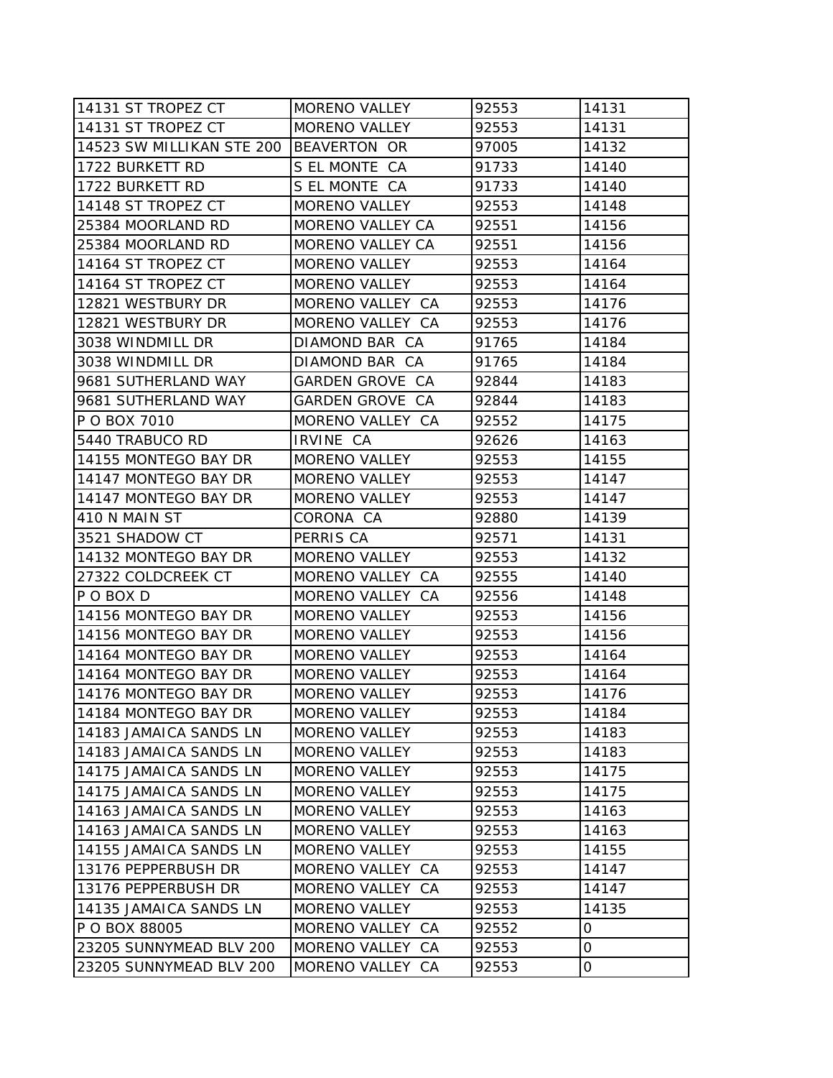| 14131 ST TROPEZ CT                     | <b>MORENO VALLEY</b> | 92553 | 14131 |
|----------------------------------------|----------------------|-------|-------|
| 14131 ST TROPEZ CT                     | <b>MORENO VALLEY</b> | 92553 | 14131 |
| 14523 SW MILLIKAN STE 200 BEAVERTON OR |                      | 97005 | 14132 |
| 1722 BURKETT RD                        | S EL MONTE CA        | 91733 | 14140 |
| 1722 BURKETT RD                        | S EL MONTE CA        | 91733 | 14140 |
| 14148 ST TROPEZ CT                     | <b>MORENO VALLEY</b> | 92553 | 14148 |
| 25384 MOORLAND RD                      | MORENO VALLEY CA     | 92551 | 14156 |
| 25384 MOORLAND RD                      | MORENO VALLEY CA     | 92551 | 14156 |
| 14164 ST TROPEZ CT                     | <b>MORENO VALLEY</b> | 92553 | 14164 |
| 14164 ST TROPEZ CT                     | <b>MORENO VALLEY</b> | 92553 | 14164 |
| 12821 WESTBURY DR                      | MORENO VALLEY CA     | 92553 | 14176 |
| 12821 WESTBURY DR                      | MORENO VALLEY CA     | 92553 | 14176 |
| 3038 WINDMILL DR                       | DIAMOND BAR CA       | 91765 | 14184 |
| 3038 WINDMILL DR                       | DIAMOND BAR CA       | 91765 | 14184 |
| 9681 SUTHERLAND WAY                    | GARDEN GROVE CA      | 92844 | 14183 |
| 9681 SUTHERLAND WAY                    | GARDEN GROVE CA      | 92844 | 14183 |
| P O BOX 7010                           | MORENO VALLEY CA     | 92552 | 14175 |
| 5440 TRABUCO RD                        | IRVINE CA            | 92626 | 14163 |
| 14155 MONTEGO BAY DR                   | <b>MORENO VALLEY</b> | 92553 | 14155 |
| 14147 MONTEGO BAY DR                   | <b>MORENO VALLEY</b> | 92553 | 14147 |
| 14147 MONTEGO BAY DR                   | <b>MORENO VALLEY</b> | 92553 | 14147 |
| 410 N MAIN ST                          | CORONA CA            | 92880 | 14139 |
| 3521 SHADOW CT                         | PERRIS CA            | 92571 | 14131 |
| 14132 MONTEGO BAY DR                   | <b>MORENO VALLEY</b> | 92553 | 14132 |
| 27322 COLDCREEK CT                     | MORENO VALLEY CA     | 92555 | 14140 |
| P O BOX D                              | MORENO VALLEY CA     | 92556 | 14148 |
| 14156 MONTEGO BAY DR                   | <b>MORENO VALLEY</b> | 92553 | 14156 |
| 14156 MONTEGO BAY DR                   | <b>MORENO VALLEY</b> | 92553 | 14156 |
| 14164 MONTEGO BAY DR                   | <b>MORENO VALLEY</b> | 92553 | 14164 |
| 14164 MONTEGO BAY DR                   | <b>MORENO VALLEY</b> | 92553 | 14164 |
| 14176 MONTEGO BAY DR                   | <b>MORENO VALLEY</b> | 92553 | 14176 |
| 14184 MONTEGO BAY DR                   | <b>MORENO VALLEY</b> | 92553 | 14184 |
| 14183 JAMAICA SANDS LN                 | <b>MORENO VALLEY</b> | 92553 | 14183 |
| 14183 JAMAICA SANDS LN                 | <b>MORENO VALLEY</b> | 92553 | 14183 |
| 14175 JAMAICA SANDS LN                 | <b>MORENO VALLEY</b> | 92553 | 14175 |
| 14175 JAMAICA SANDS LN                 | <b>MORENO VALLEY</b> | 92553 | 14175 |
| 14163 JAMAICA SANDS LN                 | <b>MORENO VALLEY</b> | 92553 | 14163 |
| 14163 JAMAICA SANDS LN                 | <b>MORENO VALLEY</b> | 92553 | 14163 |
| 14155 JAMAICA SANDS LN                 | <b>MORENO VALLEY</b> | 92553 | 14155 |
| 13176 PEPPERBUSH DR                    | MORENO VALLEY CA     | 92553 | 14147 |
| 13176 PEPPERBUSH DR                    | MORENO VALLEY CA     | 92553 | 14147 |
| 14135 JAMAICA SANDS LN                 | <b>MORENO VALLEY</b> | 92553 | 14135 |
| P O BOX 88005                          | MORENO VALLEY CA     | 92552 | 0     |
| 23205 SUNNYMEAD BLV 200                | MORENO VALLEY CA     | 92553 | 0     |
| 23205 SUNNYMEAD BLV 200                | MORENO VALLEY CA     | 92553 | 0     |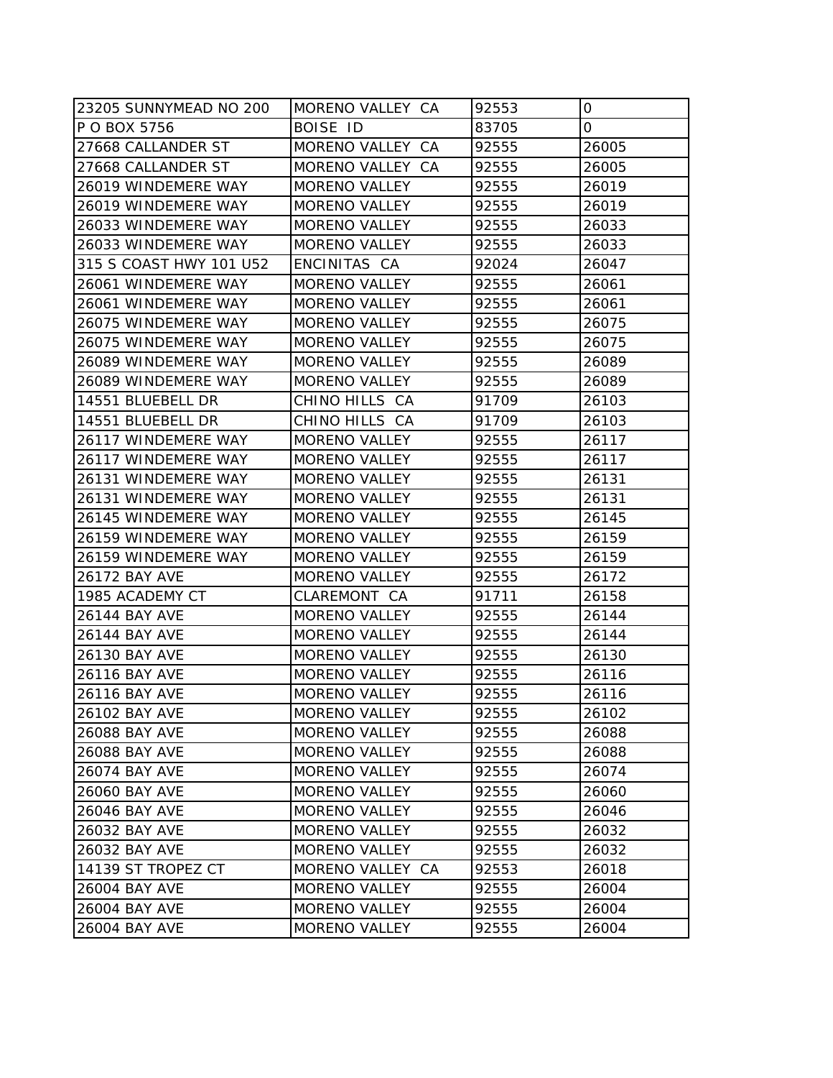| 23205 SUNNYMEAD NO 200  | MORENO VALLEY CA     | 92553 | 0     |
|-------------------------|----------------------|-------|-------|
| P O BOX 5756            | <b>BOISE ID</b>      | 83705 | 0     |
| 27668 CALLANDER ST      | MORENO VALLEY CA     | 92555 | 26005 |
| 27668 CALLANDER ST      | MORENO VALLEY CA     | 92555 | 26005 |
| 26019 WINDEMERE WAY     | <b>MORENO VALLEY</b> | 92555 | 26019 |
| 26019 WINDEMERE WAY     | <b>MORENO VALLEY</b> | 92555 | 26019 |
| 26033 WINDEMERE WAY     | <b>MORENO VALLEY</b> | 92555 | 26033 |
| 26033 WINDEMERE WAY     | <b>MORENO VALLEY</b> | 92555 | 26033 |
| 315 S COAST HWY 101 U52 | ENCINITAS CA         | 92024 | 26047 |
| 26061 WINDEMERE WAY     | <b>MORENO VALLEY</b> | 92555 | 26061 |
| 26061 WINDEMERE WAY     | <b>MORENO VALLEY</b> | 92555 | 26061 |
| 26075 WINDEMERE WAY     | MORENO VALLEY        | 92555 | 26075 |
| 26075 WINDEMERE WAY     | <b>MORENO VALLEY</b> | 92555 | 26075 |
| 26089 WINDEMERE WAY     | <b>MORENO VALLEY</b> | 92555 | 26089 |
| 26089 WINDEMERE WAY     | <b>MORENO VALLEY</b> | 92555 | 26089 |
| 14551 BLUEBELL DR       | CHINO HILLS CA       | 91709 | 26103 |
| 14551 BLUEBELL DR       | CHINO HILLS CA       | 91709 | 26103 |
| 26117 WINDEMERE WAY     | <b>MORENO VALLEY</b> | 92555 | 26117 |
| 26117 WINDEMERE WAY     | <b>MORENO VALLEY</b> | 92555 | 26117 |
| 26131 WINDEMERE WAY     | <b>MORENO VALLEY</b> | 92555 | 26131 |
| 26131 WINDEMERE WAY     | <b>MORENO VALLEY</b> | 92555 | 26131 |
| 26145 WINDEMERE WAY     | <b>MORENO VALLEY</b> | 92555 | 26145 |
| 26159 WINDEMERE WAY     | <b>MORENO VALLEY</b> | 92555 | 26159 |
| 26159 WINDEMERE WAY     | <b>MORENO VALLEY</b> | 92555 | 26159 |
| 26172 BAY AVE           | <b>MORENO VALLEY</b> | 92555 | 26172 |
| 1985 ACADEMY CT         | CLAREMONT CA         | 91711 | 26158 |
| <b>26144 BAY AVE</b>    | <b>MORENO VALLEY</b> | 92555 | 26144 |
| 26144 BAY AVE           | <b>MORENO VALLEY</b> | 92555 | 26144 |
| 26130 BAY AVE           | <b>MORENO VALLEY</b> | 92555 | 26130 |
| 26116 BAY AVE           | MORENO VALLEY        | 92555 | 26116 |
| 26116 BAY AVE           | <b>MORENO VALLEY</b> | 92555 | 26116 |
| 26102 BAY AVE           | <b>MORENO VALLEY</b> | 92555 | 26102 |
| 26088 BAY AVE           | <b>MORENO VALLEY</b> | 92555 | 26088 |
| 26088 BAY AVE           | <b>MORENO VALLEY</b> | 92555 | 26088 |
| 26074 BAY AVE           | MORENO VALLEY        | 92555 | 26074 |
| 26060 BAY AVE           | <b>MORENO VALLEY</b> | 92555 | 26060 |
| 26046 BAY AVE           | <b>MORENO VALLEY</b> | 92555 | 26046 |
| 26032 BAY AVE           | <b>MORENO VALLEY</b> | 92555 | 26032 |
| 26032 BAY AVE           | MORENO VALLEY        | 92555 | 26032 |
| 14139 ST TROPEZ CT      | MORENO VALLEY CA     | 92553 | 26018 |
| 26004 BAY AVE           | <b>MORENO VALLEY</b> | 92555 | 26004 |
| 26004 BAY AVE           | <b>MORENO VALLEY</b> | 92555 | 26004 |
| 26004 BAY AVE           | MORENO VALLEY        | 92555 | 26004 |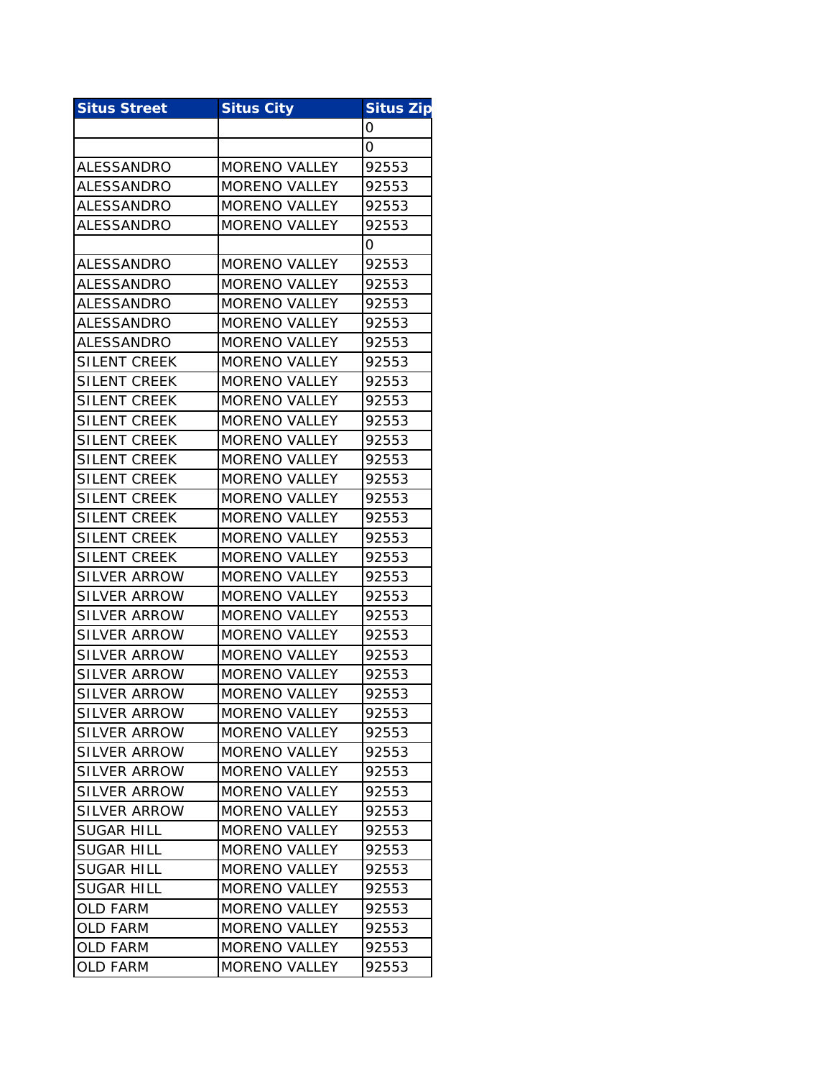| <b>Situs Street</b> | <b>Situs City</b>    | <b>Situs Zip</b> |
|---------------------|----------------------|------------------|
|                     |                      | 0                |
|                     |                      | 0                |
| ALESSANDRO          | <b>MORENO VALLEY</b> | 92553            |
| ALESSANDRO          | <b>MORENO VALLEY</b> | 92553            |
| <b>ALESSANDRO</b>   | <b>MORENO VALLEY</b> | 92553            |
| <b>ALESSANDRO</b>   | <b>MORENO VALLEY</b> | 92553            |
|                     |                      | 0                |
| <b>ALESSANDRO</b>   | <b>MORENO VALLEY</b> | 92553            |
| <b>ALESSANDRO</b>   | <b>MORENO VALLEY</b> | 92553            |
| ALESSANDRO          | <b>MORENO VALLEY</b> | 92553            |
| <b>ALESSANDRO</b>   | <b>MORENO VALLEY</b> | 92553            |
| ALESSANDRO          | <b>MORENO VALLEY</b> | 92553            |
| <b>SILENT CREEK</b> | <b>MORENO VALLEY</b> | 92553            |
| <b>SILENT CREEK</b> | <b>MORENO VALLEY</b> | 92553            |
| <b>SILENT CREEK</b> | <b>MORENO VALLEY</b> | 92553            |
| <b>SILENT CREEK</b> | <b>MORENO VALLEY</b> | 92553            |
| SILENT CREEK        | <b>MORENO VALLEY</b> | 92553            |
| <b>SILENT CREEK</b> | <b>MORENO VALLEY</b> | 92553            |
| SILENT CREEK        | <b>MORENO VALLEY</b> | 92553            |
| <b>SILENT CREEK</b> | <b>MORENO VALLEY</b> | 92553            |
| <b>SILENT CREEK</b> | <b>MORENO VALLEY</b> | 92553            |
| SILENT CREEK        | <b>MORENO VALLEY</b> | 92553            |
| <b>SILENT CREEK</b> | <b>MORENO VALLEY</b> | 92553            |
| SILVER ARROW        | MORENO VALLEY        | 92553            |
| SILVER ARROW        | <b>MORENO VALLEY</b> | 92553            |
| <b>SILVER ARROW</b> | <b>MORENO VALLEY</b> | 92553            |
| <b>SILVER ARROW</b> | <b>MORENO VALLEY</b> | 92553            |
| <b>SILVER ARROW</b> | <b>MORENO VALLEY</b> | 92553            |
| <b>SILVER ARROW</b> | <b>MORENO VALLEY</b> | 92553            |
| <b>SILVER ARROW</b> | <b>MORENO VALLEY</b> | 92553            |
| <b>SILVER ARROW</b> | <b>MORENO VALLEY</b> | 92553            |
| <b>SILVER ARROW</b> | <b>MORENO VALLEY</b> | 92553            |
| <b>SILVER ARROW</b> | <b>MORENO VALLEY</b> | 92553            |
| <b>SILVER ARROW</b> | <b>MORENO VALLEY</b> | 92553            |
| <b>SILVER ARROW</b> | <b>MORENO VALLEY</b> | 92553            |
| <b>SILVER ARROW</b> | <b>MORENO VALLEY</b> | 92553            |
| <b>SUGAR HILL</b>   | <b>MORENO VALLEY</b> | 92553            |
| <b>SUGAR HILL</b>   | <b>MORENO VALLEY</b> | 92553            |
| <b>SUGAR HILL</b>   | <b>MORENO VALLEY</b> | 92553            |
| <b>SUGAR HILL</b>   | <b>MORENO VALLEY</b> | 92553            |
| <b>OLD FARM</b>     | <b>MORENO VALLEY</b> | 92553            |
| <b>OLD FARM</b>     | <b>MORENO VALLEY</b> | 92553            |
| <b>OLD FARM</b>     | <b>MORENO VALLEY</b> | 92553            |
| <b>OLD FARM</b>     | MORENO VALLEY        | 92553            |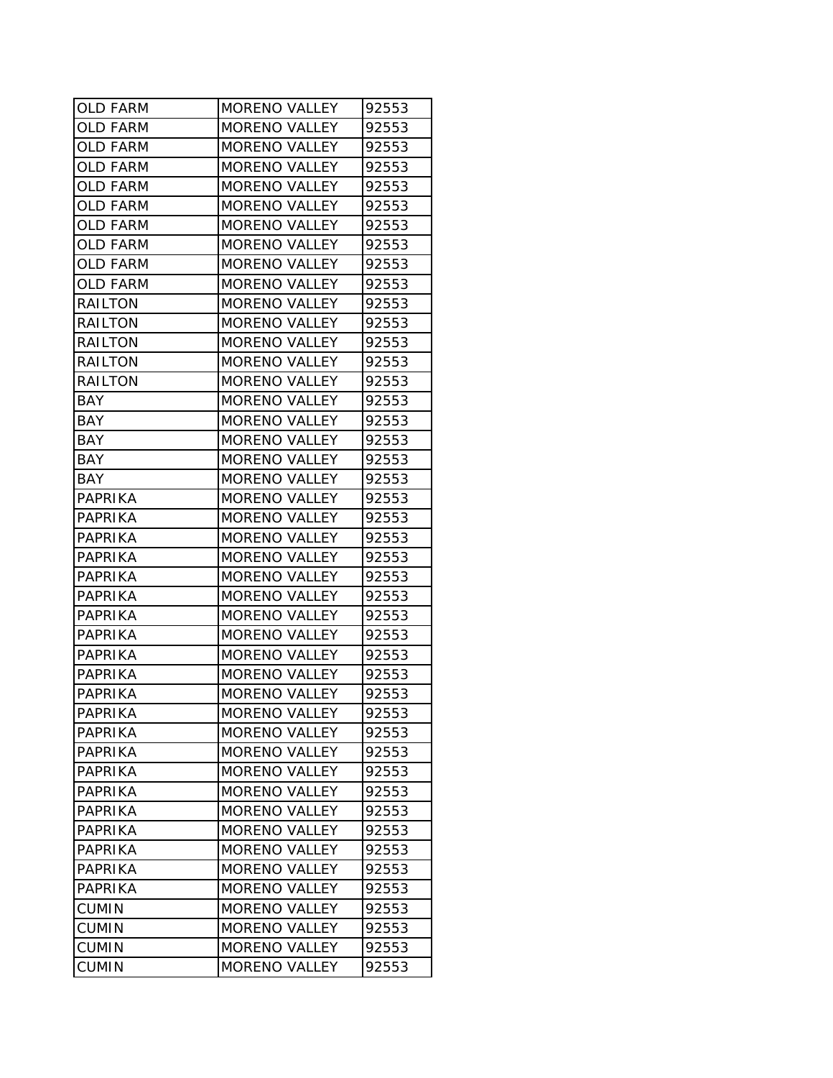| OLD FARM        | MORENO VALLEY        | 92553 |
|-----------------|----------------------|-------|
| <b>OLD FARM</b> | <b>MORENO VALLEY</b> | 92553 |
| <b>OLD FARM</b> | <b>MORENO VALLEY</b> | 92553 |
| <b>OLD FARM</b> | <b>MORENO VALLEY</b> | 92553 |
| <b>OLD FARM</b> | <b>MORENO VALLEY</b> | 92553 |
| <b>OLD FARM</b> | <b>MORENO VALLEY</b> | 92553 |
| <b>OLD FARM</b> | MORENO VALLEY        | 92553 |
| <b>OLD FARM</b> | <b>MORENO VALLEY</b> | 92553 |
| <b>OLD FARM</b> | <b>MORENO VALLEY</b> | 92553 |
| <b>OLD FARM</b> | <b>MORENO VALLEY</b> | 92553 |
| RAILTON         | <b>MORENO VALLEY</b> | 92553 |
| <b>RAILTON</b>  | <b>MORENO VALLEY</b> | 92553 |
| RAILTON         | <b>MORENO VALLEY</b> | 92553 |
| RAILTON         | <b>MORENO VALLEY</b> | 92553 |
| RAILTON         | <b>MORENO VALLEY</b> | 92553 |
| <b>BAY</b>      | <b>MORENO VALLEY</b> | 92553 |
| BAY             | <b>MORENO VALLEY</b> | 92553 |
| <b>BAY</b>      | <b>MORENO VALLEY</b> | 92553 |
| <b>BAY</b>      | <b>MORENO VALLEY</b> | 92553 |
| <b>BAY</b>      | <b>MORENO VALLEY</b> | 92553 |
| PAPRIKA         | <b>MORENO VALLEY</b> | 92553 |
| PAPRIKA         | <b>MORENO VALLEY</b> | 92553 |
| <b>PAPRIKA</b>  | <b>MORENO VALLEY</b> | 92553 |
| PAPRIKA         | <b>MORENO VALLEY</b> | 92553 |
| PAPRIKA         | <b>MORENO VALLEY</b> | 92553 |
| PAPRIKA         | <b>MORENO VALLEY</b> | 92553 |
| PAPRIKA         | <b>MORENO VALLEY</b> | 92553 |
| PAPRIKA         | <b>MORENO VALLEY</b> | 92553 |
| PAPRIKA         | <b>MORENO VALLEY</b> | 92553 |
| PAPRIKA         | <b>MORENO VALLEY</b> | 92553 |
| PAPRIKA         | <b>MORENO VALLEY</b> | 92553 |
| <b>PAPRIKA</b>  | <b>MORENO VALLEY</b> | 92553 |
| PAPRIKA         | <b>MORENO VALLEY</b> | 92553 |
| PAPRIKA         | <b>MORENO VALLEY</b> | 92553 |
| PAPRIKA         | <b>MORENO VALLEY</b> | 92553 |
| PAPRIKA         | MORENO VALLEY        | 92553 |
| PAPRIKA         | <b>MORENO VALLEY</b> | 92553 |
| PAPRIKA         | <b>MORENO VALLEY</b> | 92553 |
| <b>PAPRIKA</b>  | <b>MORENO VALLEY</b> | 92553 |
| PAPRIKA         | <b>MORENO VALLEY</b> | 92553 |
| PAPRIKA         | <b>MORENO VALLEY</b> | 92553 |
| <b>CUMIN</b>    | <b>MORENO VALLEY</b> | 92553 |
| <b>CUMIN</b>    | <b>MORENO VALLEY</b> | 92553 |
| <b>CUMIN</b>    | <b>MORENO VALLEY</b> | 92553 |
| <b>CUMIN</b>    | <b>MORENO VALLEY</b> | 92553 |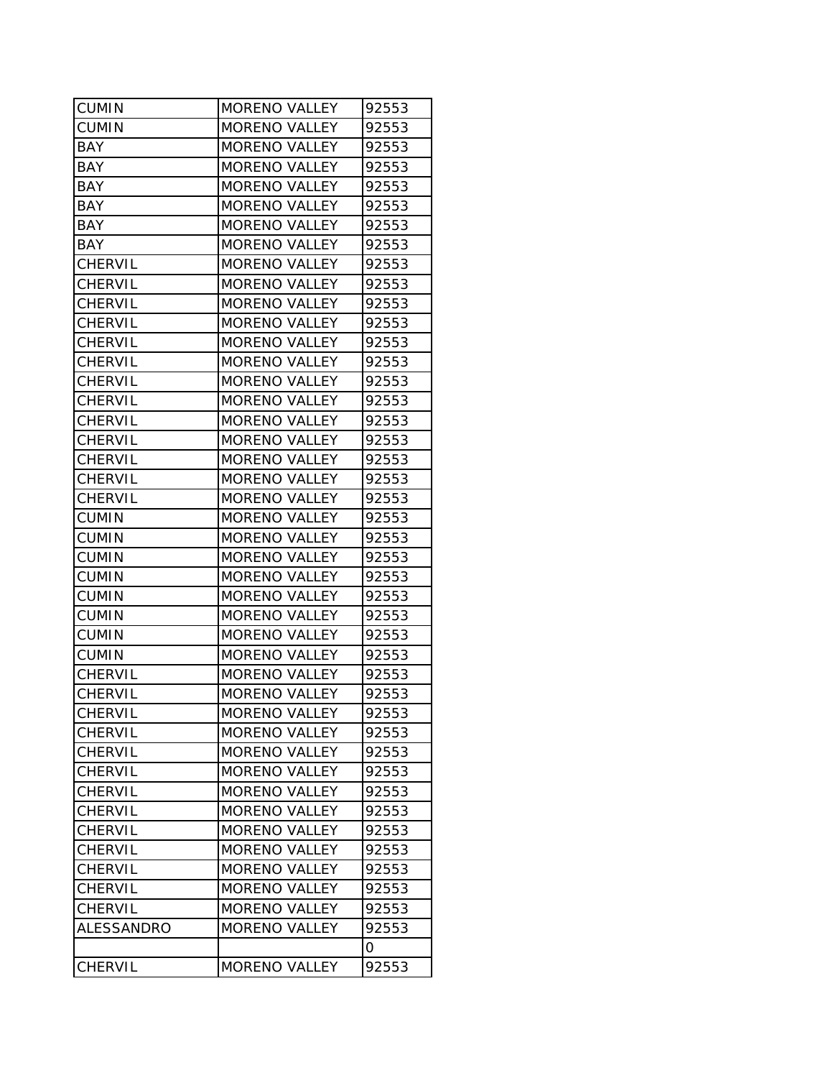| <b>CUMIN</b>   | MORENO VALLEY        | 92553 |
|----------------|----------------------|-------|
| ICUMIN         | <b>MORENO VALLEY</b> | 92553 |
| BAY            | <b>MORENO VALLEY</b> | 92553 |
| BAY            | <b>MORENO VALLEY</b> | 92553 |
| BAY            | <b>MORENO VALLEY</b> | 92553 |
| <b>BAY</b>     | <b>MORENO VALLEY</b> | 92553 |
| BAY            | <b>MORENO VALLEY</b> | 92553 |
| <b>BAY</b>     | <b>MORENO VALLEY</b> | 92553 |
| <b>CHERVIL</b> | <b>MORENO VALLEY</b> | 92553 |
| <b>CHERVIL</b> | <b>MORENO VALLEY</b> | 92553 |
| <b>CHERVIL</b> | <b>MORENO VALLEY</b> | 92553 |
| <b>CHERVIL</b> | MORENO VALLEY        | 92553 |
| <b>CHERVIL</b> | MORENO VALLEY        | 92553 |
| <b>CHERVIL</b> | <b>MORENO VALLEY</b> | 92553 |
| <b>CHERVIL</b> | <b>MORENO VALLEY</b> | 92553 |
| <b>CHERVIL</b> | <b>MORENO VALLEY</b> | 92553 |
| <b>CHERVIL</b> | <b>MORENO VALLEY</b> | 92553 |
| <b>CHERVIL</b> | <b>MORENO VALLEY</b> | 92553 |
| <b>CHERVIL</b> | <b>MORENO VALLEY</b> | 92553 |
| <b>CHERVIL</b> | <b>MORENO VALLEY</b> | 92553 |
| <b>CHERVIL</b> | <b>MORENO VALLEY</b> | 92553 |
| <b>CUMIN</b>   | <b>MORENO VALLEY</b> | 92553 |
| <b>CUMIN</b>   | <b>MORENO VALLEY</b> | 92553 |
| <b>CUMIN</b>   | <b>MORENO VALLEY</b> | 92553 |
| <b>CUMIN</b>   | <b>MORENO VALLEY</b> | 92553 |
| <b>CUMIN</b>   | <b>MORENO VALLEY</b> | 92553 |
| <b>CUMIN</b>   | <b>MORENO VALLEY</b> | 92553 |
| <b>CUMIN</b>   | MORENO VALLEY        | 92553 |
| <b>CUMIN</b>   | <b>MORENO VALLEY</b> | 92553 |
| <b>CHERVIL</b> | <b>MORENO VALLEY</b> | 92553 |
| <b>CHERVIL</b> | <b>MORENO VALLEY</b> | 92553 |
| <b>CHERVIL</b> | <b>MORENO VALLEY</b> | 92553 |
| <b>CHERVIL</b> | <b>MORENO VALLEY</b> | 92553 |
| <b>CHERVIL</b> | <b>MORENO VALLEY</b> | 92553 |
| CHERVIL        | <b>MORENO VALLEY</b> | 92553 |
| <b>CHERVIL</b> | MORENO VALLEY        | 92553 |
| <b>CHERVIL</b> | <b>MORENO VALLEY</b> | 92553 |
| <b>CHERVIL</b> | <b>MORENO VALLEY</b> | 92553 |
| <b>CHERVIL</b> | <b>MORENO VALLEY</b> | 92553 |
| CHERVIL        | <b>MORENO VALLEY</b> | 92553 |
| <b>CHERVIL</b> | <b>MORENO VALLEY</b> | 92553 |
| <b>CHERVIL</b> | <b>MORENO VALLEY</b> | 92553 |
| ALESSANDRO     | <b>MORENO VALLEY</b> | 92553 |
|                |                      | 0     |
| <b>CHERVIL</b> | MORENO VALLEY        | 92553 |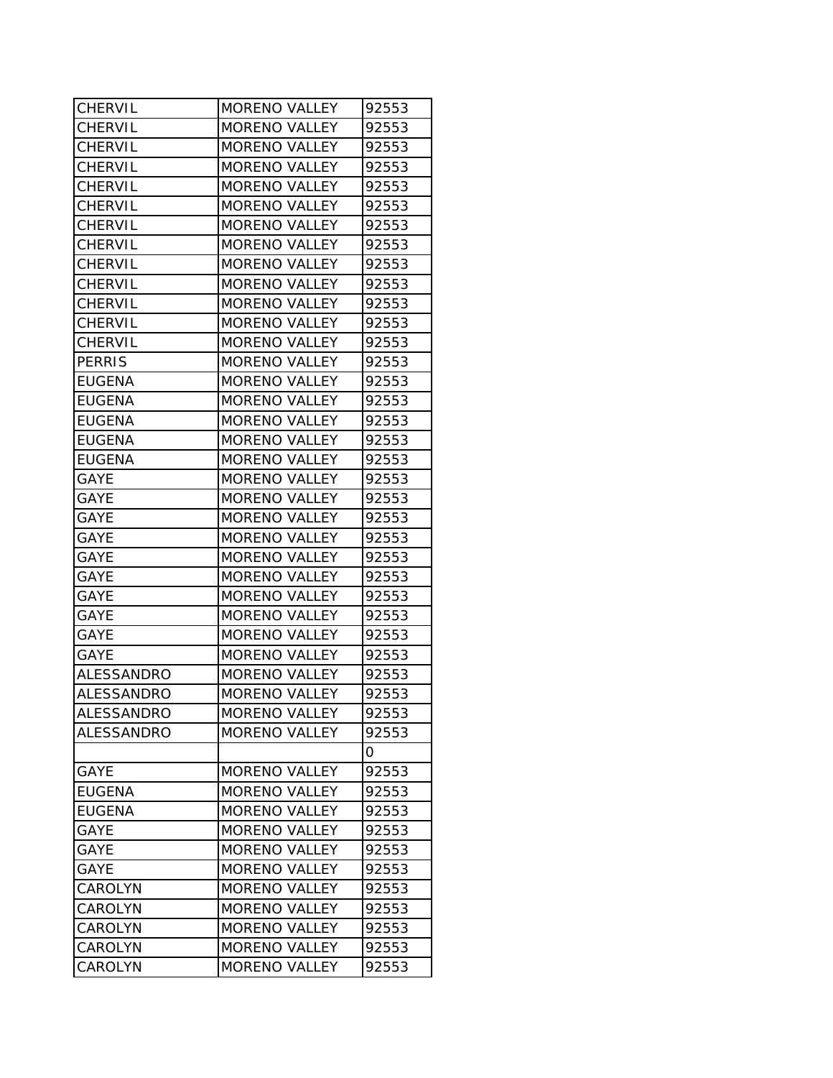| CHERVIL           | MORENO VALLEY        | 92553 |
|-------------------|----------------------|-------|
| CHERVIL           | <b>MORENO VALLEY</b> | 92553 |
| <b>CHERVIL</b>    | <b>MORENO VALLEY</b> | 92553 |
| <b>CHERVIL</b>    | <b>MORENO VALLEY</b> | 92553 |
| <b>CHERVIL</b>    | <b>MORENO VALLEY</b> | 92553 |
| <b>CHERVIL</b>    | <b>MORENO VALLEY</b> | 92553 |
| <b>CHERVIL</b>    | MORENO VALLEY        | 92553 |
| <b>CHERVIL</b>    | <b>MORENO VALLEY</b> | 92553 |
| <b>CHERVIL</b>    | <b>MORENO VALLEY</b> | 92553 |
| <b>CHERVIL</b>    | <b>MORENO VALLEY</b> | 92553 |
| <b>CHERVIL</b>    | <b>MORENO VALLEY</b> | 92553 |
| <b>CHERVIL</b>    | MORENO VALLEY        | 92553 |
| <b>CHERVIL</b>    | MORENO VALLEY        | 92553 |
| <b>PERRIS</b>     | <b>MORENO VALLEY</b> | 92553 |
| <b>EUGENA</b>     | <b>MORENO VALLEY</b> | 92553 |
| <b>EUGENA</b>     | <b>MORENO VALLEY</b> | 92553 |
| <b>EUGENA</b>     | <b>MORENO VALLEY</b> | 92553 |
| <b>EUGENA</b>     | <b>MORENO VALLEY</b> | 92553 |
| EUGENA            | <b>MORENO VALLEY</b> | 92553 |
| <b>GAYE</b>       | <b>MORENO VALLEY</b> | 92553 |
| <b>GAYE</b>       | <b>MORENO VALLEY</b> | 92553 |
| <b>GAYE</b>       | <b>MORENO VALLEY</b> | 92553 |
| <b>GAYE</b>       | <b>MORENO VALLEY</b> | 92553 |
| <b>GAYE</b>       | <b>MORENO VALLEY</b> | 92553 |
| <b>GAYE</b>       | <b>MORENO VALLEY</b> | 92553 |
| <b>GAYE</b>       | <b>MORENO VALLEY</b> | 92553 |
| <b>GAYE</b>       | <b>MORENO VALLEY</b> | 92553 |
| <b>GAYE</b>       | <b>MORENO VALLEY</b> | 92553 |
| <b>GAYE</b>       | <b>MORENO VALLEY</b> | 92553 |
| ALESSANDRO        | <b>MORENO VALLEY</b> | 92553 |
| ALESSANDRO        | <b>MORENO VALLEY</b> | 92553 |
| <b>ALESSANDRO</b> | MORENO VALLEY        | 92553 |
| ALESSANDRO        | <b>MORENO VALLEY</b> | 92553 |
|                   |                      | 0     |
| <b>GAYE</b>       | <b>MORENO VALLEY</b> | 92553 |
| EUGENA            | <b>MORENO VALLEY</b> | 92553 |
| <b>EUGENA</b>     | <b>MORENO VALLEY</b> | 92553 |
| <b>GAYE</b>       | <b>MORENO VALLEY</b> | 92553 |
| <b>GAYE</b>       | <b>MORENO VALLEY</b> | 92553 |
| <b>GAYE</b>       | <b>MORENO VALLEY</b> | 92553 |
| CAROLYN           | <b>MORENO VALLEY</b> | 92553 |
| <b>CAROLYN</b>    | <b>MORENO VALLEY</b> | 92553 |
| CAROLYN           | <b>MORENO VALLEY</b> | 92553 |
| CAROLYN           | <b>MORENO VALLEY</b> | 92553 |
| CAROLYN           | <b>MORENO VALLEY</b> | 92553 |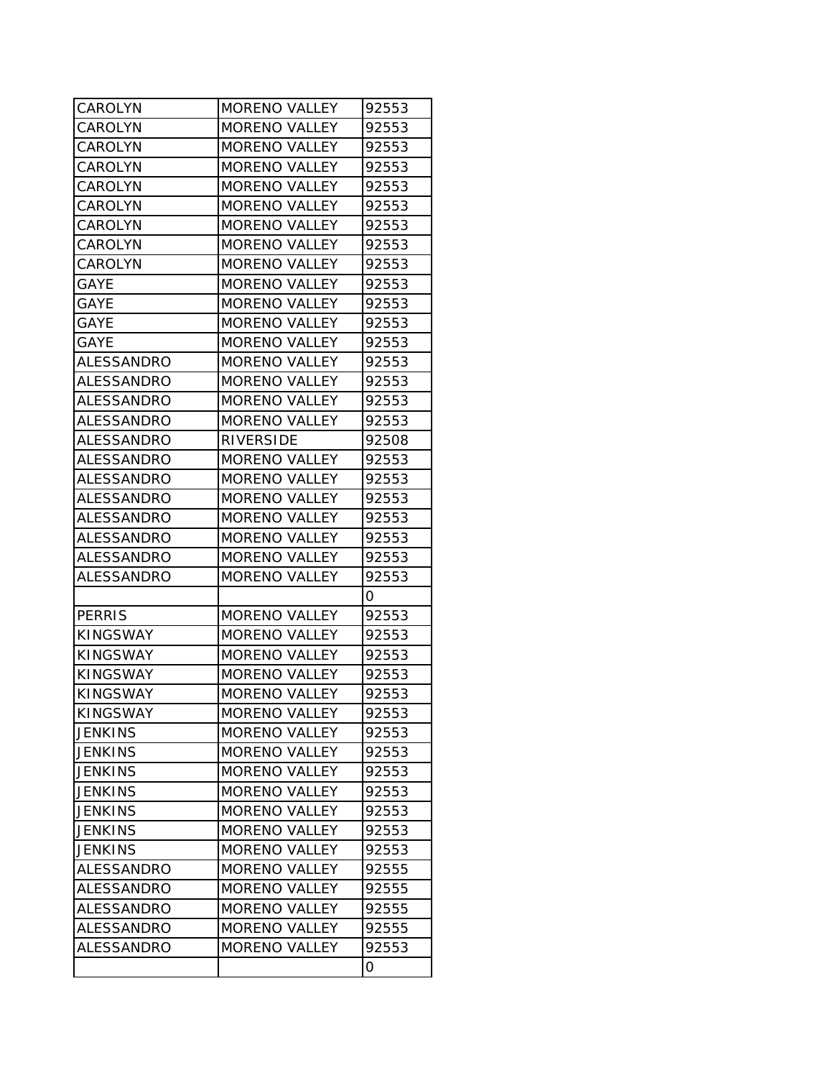| CAROLYN           | <b>MORENO VALLEY</b> | 92553 |
|-------------------|----------------------|-------|
| CAROLYN           | <b>MORENO VALLEY</b> | 92553 |
| CAROLYN           | <b>MORENO VALLEY</b> | 92553 |
| CAROLYN           | <b>MORENO VALLEY</b> | 92553 |
| CAROLYN           | <b>MORENO VALLEY</b> | 92553 |
| CAROLYN           | <b>MORENO VALLEY</b> | 92553 |
| <b>CAROLYN</b>    | <b>MORENO VALLEY</b> | 92553 |
| CAROLYN           | <b>MORENO VALLEY</b> | 92553 |
| <b>CAROLYN</b>    | <b>MORENO VALLEY</b> | 92553 |
| <b>GAYE</b>       | <b>MORENO VALLEY</b> | 92553 |
| <b>GAYE</b>       | <b>MORENO VALLEY</b> | 92553 |
| GAYE              | <b>MORENO VALLEY</b> | 92553 |
| <b>GAYE</b>       | <b>MORENO VALLEY</b> | 92553 |
| ALESSANDRO        | <b>MORENO VALLEY</b> | 92553 |
| ALESSANDRO        | <b>MORENO VALLEY</b> | 92553 |
| ALESSANDRO        | <b>MORENO VALLEY</b> | 92553 |
| ALESSANDRO        | <b>MORENO VALLEY</b> | 92553 |
| ALESSANDRO        | <b>RIVERSIDE</b>     | 92508 |
| <b>ALESSANDRO</b> | <b>MORENO VALLEY</b> | 92553 |
| ALESSANDRO        | <b>MORENO VALLEY</b> | 92553 |
| ALESSANDRO        | <b>MORENO VALLEY</b> | 92553 |
| ALESSANDRO        | <b>MORENO VALLEY</b> | 92553 |
| ALESSANDRO        | <b>MORENO VALLEY</b> | 92553 |
| ALESSANDRO        | <b>MORENO VALLEY</b> | 92553 |
| ALESSANDRO        | <b>MORENO VALLEY</b> | 92553 |
|                   |                      | 0     |
| <b>PERRIS</b>     | <b>MORENO VALLEY</b> | 92553 |
| <b>KINGSWAY</b>   | <b>MORENO VALLEY</b> | 92553 |
| <b>KINGSWAY</b>   | <b>MORENO VALLEY</b> | 92553 |
| <b>KINGSWAY</b>   | <b>MORENO VALLEY</b> | 92553 |
| <b>KINGSWAY</b>   | <b>MORENO VALLEY</b> | 92553 |
| <b>KINGSWAY</b>   | <b>MORENO VALLEY</b> | 92553 |
| <b>JENKINS</b>    | <b>MORENO VALLEY</b> | 92553 |
| <b>JENKINS</b>    | <b>MORENO VALLEY</b> | 92553 |
| <b>JENKINS</b>    | <b>MORENO VALLEY</b> | 92553 |
| <b>JENKINS</b>    | <b>MORENO VALLEY</b> | 92553 |
| <b>JENKINS</b>    | <b>MORENO VALLEY</b> | 92553 |
| <b>JENKINS</b>    | <b>MORENO VALLEY</b> | 92553 |
| <b>JENKINS</b>    | <b>MORENO VALLEY</b> | 92553 |
| ALESSANDRO        | <b>MORENO VALLEY</b> | 92555 |
| ALESSANDRO        | <b>MORENO VALLEY</b> | 92555 |
| <b>ALESSANDRO</b> | <b>MORENO VALLEY</b> | 92555 |
| ALESSANDRO        | <b>MORENO VALLEY</b> | 92555 |
| <b>ALESSANDRO</b> | <b>MORENO VALLEY</b> | 92553 |
|                   |                      | 0     |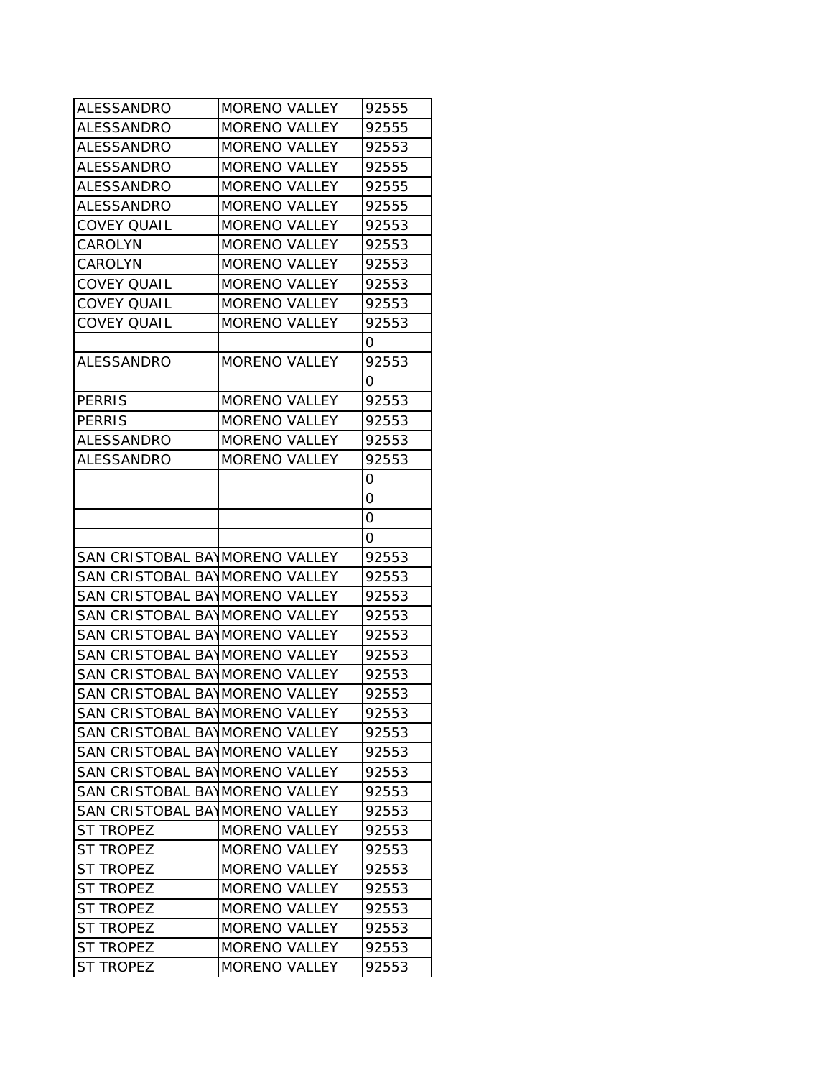| ALESSANDRO                     | <b>MORENO VALLEY</b> | 92555    |
|--------------------------------|----------------------|----------|
| ALESSANDRO                     | <b>MORENO VALLEY</b> | 92555    |
| ALESSANDRO                     | <b>MORENO VALLEY</b> | 92553    |
| <b>ALESSANDRO</b>              | <b>MORENO VALLEY</b> | 92555    |
| <b>ALESSANDRO</b>              | MORENO VALLEY        | 92555    |
| ALESSANDRO                     | <b>MORENO VALLEY</b> | 92555    |
| <b>COVEY QUAIL</b>             | <b>MORENO VALLEY</b> | 92553    |
| CAROLYN                        | <b>MORENO VALLEY</b> | 92553    |
| CAROLYN                        | <b>MORENO VALLEY</b> | 92553    |
| <b>COVEY QUAIL</b>             | <b>MORENO VALLEY</b> | 92553    |
| <b>COVEY QUAIL</b>             | <b>MORENO VALLEY</b> | 92553    |
| <b>COVEY QUAIL</b>             | <b>MORENO VALLEY</b> | 92553    |
|                                |                      | 0        |
| <b>ALESSANDRO</b>              | <b>MORENO VALLEY</b> | 92553    |
|                                |                      | $\Omega$ |
| <b>PERRIS</b>                  | <b>MORENO VALLEY</b> | 92553    |
| <b>PERRIS</b>                  | <b>MORENO VALLEY</b> | 92553    |
| ALESSANDRO                     | <b>MORENO VALLEY</b> | 92553    |
| ALESSANDRO                     | <b>MORENO VALLEY</b> | 92553    |
|                                |                      | 0        |
|                                |                      | 0        |
|                                |                      | 0        |
|                                |                      | 0        |
| SAN CRISTOBAL BAYMORENO VALLEY |                      | 92553    |
| SAN CRISTOBAL BAYMORENO VALLEY |                      | 92553    |
| SAN CRISTOBAL BAYMORENO VALLEY |                      | 92553    |
| SAN CRISTOBAL BAYMORENO VALLEY |                      | 92553    |
| SAN CRISTOBAL BAYMORENO VALLEY |                      | 92553    |
| SAN CRISTOBAL BAYMORENO VALLEY |                      | 92553    |
| SAN CRISTOBAL BAYMORENO VALLEY |                      | 92553    |
| SAN CRISTOBAL BAYMORENO VALLEY |                      | 92553    |
| SAN CRISTOBAL BAYMORENO VALLEY |                      | 92553    |
| SAN CRISTOBAL BAYMORENO VALLEY |                      | 92553    |
| SAN CRISTOBAL BAYMORENO VALLEY |                      | 92553    |
| SAN CRISTOBAL BAYMORENO VALLEY |                      | 92553    |
| SAN CRISTOBAL BAYMORENO VALLEY |                      | 92553    |
| SAN CRISTOBAL BAYMORENO VALLEY |                      | 92553    |
| <b>ST TROPEZ</b>               | <b>MORENO VALLEY</b> | 92553    |
| <b>ST TROPEZ</b>               | <b>MORENO VALLEY</b> | 92553    |
| <b>ST TROPEZ</b>               | <b>MORENO VALLEY</b> | 92553    |
| ST TROPEZ                      | <b>MORENO VALLEY</b> | 92553    |
| <b>ST TROPEZ</b>               | <b>MORENO VALLEY</b> | 92553    |
| ST TROPEZ                      | <b>MORENO VALLEY</b> | 92553    |
| ST TROPEZ                      | <b>MORENO VALLEY</b> | 92553    |
| <b>ST TROPEZ</b>               | MORENO VALLEY        | 92553    |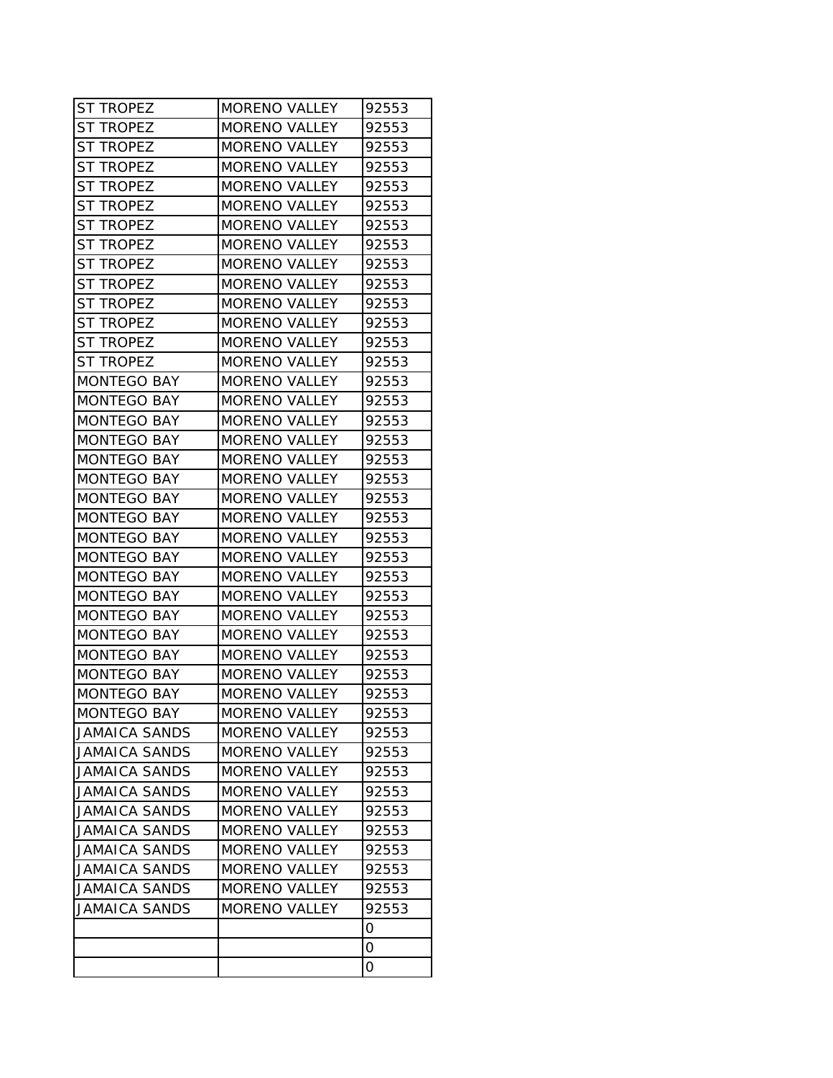| <b>ST TROPEZ</b>     | <b>MORENO VALLEY</b> | 92553 |
|----------------------|----------------------|-------|
| ST TROPEZ            | <b>MORENO VALLEY</b> | 92553 |
| st tropez            | <b>MORENO VALLEY</b> | 92553 |
| <b>ST TROPEZ</b>     | <b>MORENO VALLEY</b> | 92553 |
| ST TROPEZ            | <b>MORENO VALLEY</b> | 92553 |
| ST TROPEZ            | <b>MORENO VALLEY</b> | 92553 |
| st tropez            | <b>MORENO VALLEY</b> | 92553 |
| <b>ST TROPEZ</b>     | <b>MORENO VALLEY</b> | 92553 |
| <b>ST TROPEZ</b>     | <b>MORENO VALLEY</b> | 92553 |
| st tropez            | <b>MORENO VALLEY</b> | 92553 |
| <b>ST TROPEZ</b>     | <b>MORENO VALLEY</b> | 92553 |
| st tropez            | <b>MORENO VALLEY</b> | 92553 |
| st tropez            | <b>MORENO VALLEY</b> | 92553 |
| ST TROPEZ            | <b>MORENO VALLEY</b> | 92553 |
| <b>MONTEGO BAY</b>   | <b>MORENO VALLEY</b> | 92553 |
| <b>MONTEGO BAY</b>   | <b>MORENO VALLEY</b> | 92553 |
| <b>MONTEGO BAY</b>   | <b>MORENO VALLEY</b> | 92553 |
| <b>MONTEGO BAY</b>   | <b>MORENO VALLEY</b> | 92553 |
| MONTEGO BAY          | <b>MORENO VALLEY</b> | 92553 |
| <b>MONTEGO BAY</b>   | <b>MORENO VALLEY</b> | 92553 |
| <b>MONTEGO BAY</b>   | <b>MORENO VALLEY</b> | 92553 |
| <b>MONTEGO BAY</b>   | MORENO VALLEY        | 92553 |
| <b>MONTEGO BAY</b>   | <b>MORENO VALLEY</b> | 92553 |
| <b>MONTEGO BAY</b>   | <b>MORENO VALLEY</b> | 92553 |
| <b>MONTEGO BAY</b>   | <b>MORENO VALLEY</b> | 92553 |
| <b>MONTEGO BAY</b>   | <b>MORENO VALLEY</b> | 92553 |
| <b>MONTEGO BAY</b>   | <b>MORENO VALLEY</b> | 92553 |
| <b>MONTEGO BAY</b>   | <b>MORENO VALLEY</b> | 92553 |
| <b>MONTEGO BAY</b>   | <b>MORENO VALLEY</b> | 92553 |
| <b>MONTEGO BAY</b>   | <b>MORENO VALLEY</b> | 92553 |
| <b>MONTEGO BAY</b>   | <b>MORENO VALLEY</b> | 92553 |
| MONTEGO BAY          | MORENO VALLEY        | 92553 |
| <b>JAMAICA SANDS</b> | <b>MORENO VALLEY</b> | 92553 |
| <b>JAMAICA SANDS</b> | <b>MORENO VALLEY</b> | 92553 |
| <b>JAMAICA SANDS</b> | <b>MORENO VALLEY</b> | 92553 |
| <b>JAMAICA SANDS</b> | <b>MORENO VALLEY</b> | 92553 |
| <b>JAMAICA SANDS</b> | <b>MORENO VALLEY</b> | 92553 |
| <b>JAMAICA SANDS</b> | <b>MORENO VALLEY</b> | 92553 |
| <b>JAMAICA SANDS</b> | <b>MORENO VALLEY</b> | 92553 |
| <b>JAMAICA SANDS</b> | <b>MORENO VALLEY</b> | 92553 |
| <b>JAMAICA SANDS</b> | <b>MORENO VALLEY</b> | 92553 |
| <b>JAMAICA SANDS</b> | <b>MORENO VALLEY</b> | 92553 |
|                      |                      | 0     |
|                      |                      | 0     |
|                      |                      | 0     |